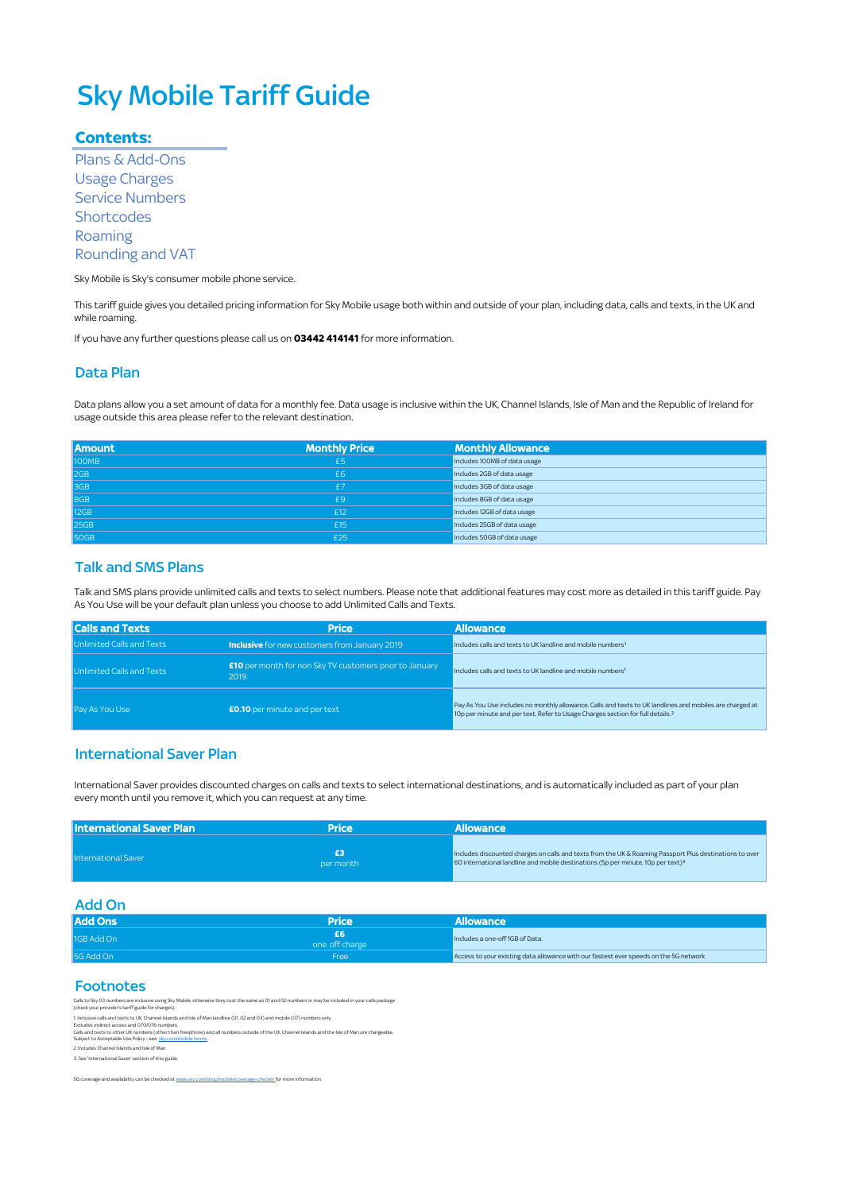# Sky Mobile Tariff Guide

#### **Contents:**

 Plans & Add-Ons Usage Charges Service Numbers **Shortcodes** Roaming Rounding and VAT

Sky Mobile is Sky's consumer mobile phone service.

This tariff guide gives you detailed pricing information for Sky Mobile usage both within and outside of your plan, including data, calls and texts, in the UK and while roaming.

If you have any further questions please call us on **03442 414141** for more information.

#### Data Plan

Data plans allow you a set amount of data for a monthly fee. Data usage is inclusive within the UK, Channel Islands, Isle of Man and the Republic of Ireland for usage outside this area please refer to the relevant destination.

| <b>Amount</b> | <b>Monthly Price</b> | <b>Monthly Allowance</b>     |
|---------------|----------------------|------------------------------|
| 100MB         | £5                   | Includes 100MB of data usage |
| 2GB           | £6                   | Includes 2GB of data usage   |
| 3GB           | f7                   | Includes 3GB of data usage   |
| 8GB           | £9                   | Includes 8GB of data usage   |
| <b>12GB</b>   | £12                  | Includes 12GB of data usage  |
| <b>25GB</b>   | £15                  | Includes 25GB of data usage  |
| <b>50GB</b>   | £25                  | Includes 50GB of data usage  |

#### **Talk and SMS Plans**

Talk and SMS plans provide unlimited calls and texts to select numbers. Please note that additional features may cost more as detailed in this tariff guide. Pay As You Use will be your default plan unless you choose to add Unlimited Calls and Texts.

| <b>Calls and Texts</b>    | <b>Price</b>                                                           | <b>Allowance</b>                                                                                                                                                                                       |
|---------------------------|------------------------------------------------------------------------|--------------------------------------------------------------------------------------------------------------------------------------------------------------------------------------------------------|
| Unlimited Calls and Texts | <b>Inclusive</b> for new customers from January 2019                   | Includes calls and texts to UK landline and mobile numbers <sup>1</sup>                                                                                                                                |
| Unlimited Calls and Texts | <b>£10</b> per month for non Sky TV customers prior to January<br>2019 | Includes calls and texts to UK landline and mobile numbers <sup>1</sup>                                                                                                                                |
| Pay As You Use            | <b>£0.10</b> per minute and per text                                   | Pay As You Use includes no monthly allowance. Calls and texts to UK landlines and mobiles are charged at<br>10p per minute and per text. Refer to Usage Charges section for full details. <sup>2</sup> |

#### International Saver Plan

Í International Saver provides discounted charges on calls and texts to select international destinations, and is automatically included as part of your plan every month until you remove it, which you can request at any time.

| l International Saver Plan | Price     | <b>Allowance</b>                                                                                                                                                                                                      |
|----------------------------|-----------|-----------------------------------------------------------------------------------------------------------------------------------------------------------------------------------------------------------------------|
| <b>International Saver</b> | per month | Includes discounted charges on calls and texts from the UK & Roaming Passport Plus destinations to over<br>$\frac{1}{2}$ 60 international landline and mobile destinations (5p per minute, 10p per text) <sup>3</sup> |

Add On

| <b>Add Ons</b> | Price          | <b>Allowance</b>                                                                      |
|----------------|----------------|---------------------------------------------------------------------------------------|
| 1GB Add On     | one off charge | Includes a one-off 1GB of Data.                                                       |
| 5G Add On      | Free           | Access to your existing data allowance with our fastest ever speeds on the 5G network |

#### Footnotes

Calls to Sky 03 numbers are inclusive using Sky Mobile, otherwise they cost the same as 01 and 02 numbers or may be included in your calls package (check your provider's tariff guide for charges).

. Inclusiv<br>xcludes<br>alls and<br>ubject t

1. Inclusive calls and texts to UK, Dannel Islands and Isle of Man landline (01, 02 and 03) and mobile (07) numbers only.<br>Cacludes indirect access and 070/076 numbers, how the more and a numbers outside of the UK, Channel

2. Includes Channel Islands and Isle of Man.

3. See 'International Saver' section of this guide.

[5G coverage and availability can be checked at www.sky.com/shop/mobile/coverage-checker f](https://www.sky.com/shop/mobile/coverage-checker)or more information.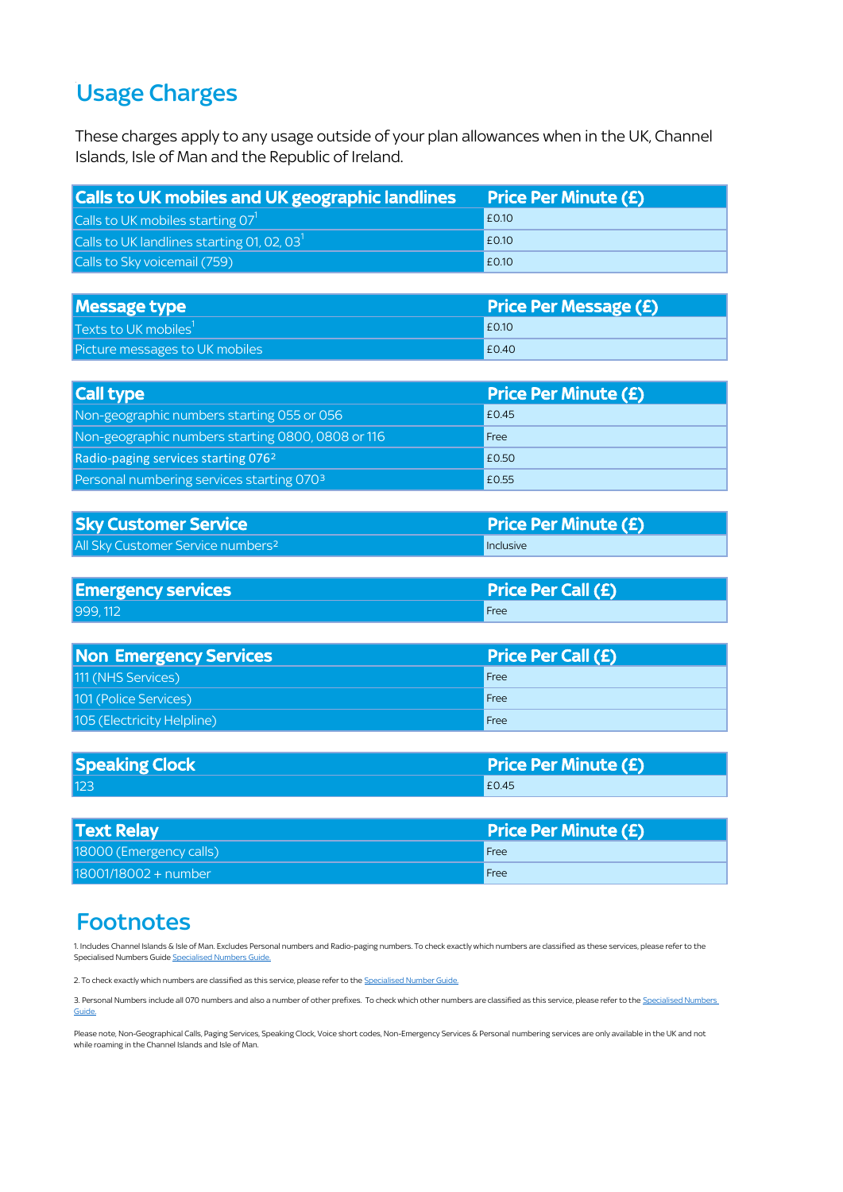# Usage Charges

These charges apply to any usage outside of your plan allowances when in the UK, Channel Islands, Isle of Man and the Republic of Ireland.

| <b>Calls to UK mobiles and UK geographic landlines</b> | <b>Price Per Minute (£)</b> |
|--------------------------------------------------------|-----------------------------|
| Calls to UK mobiles starting $071$                     | E0.10                       |
| Calls to UK landlines starting 01, 02, 03 $^1$         | E0.10                       |
| Calls to Sky voicemail (759)                           | E0.10                       |

| <b>Message type</b>                    | <b>Price Per Message (£)</b> |
|----------------------------------------|------------------------------|
| $\vert$ Texts to UK mobiles $^{\rm l}$ | E0.10                        |
| Picture messages to UK mobiles         | £0.40                        |

| <b>Call type</b>                                  | <b>Price Per Minute (£)</b> |
|---------------------------------------------------|-----------------------------|
| Non-geographic numbers starting 055 or 056        | £0.45                       |
| Non-geographic numbers starting 0800, 0808 or 116 | Free                        |
| Radio-paging services starting 0762               | £0.50                       |
| Personal numbering services starting 0703         | £0.55                       |

| <b>Sky Customer Service</b>                   | <b>Price Per Minute (£)</b> |
|-----------------------------------------------|-----------------------------|
| All Sky Customer Service numbers <sup>2</sup> | <b>I</b> Inclusive          |

| <b>Emergency services</b> | <b>Price Per Call (£)</b> |
|---------------------------|---------------------------|
| 999.112                   | Free                      |

| Non Emergency Services     | <b>Price Per Call (£)</b> |
|----------------------------|---------------------------|
| 111 (NHS Services)         | Free                      |
| 101 (Police Services)      | Free                      |
| 105 (Electricity Helpline) | Free                      |

| <b>Speaking Clock</b> | <b>Price Per Minute (£)</b> |
|-----------------------|-----------------------------|
| 123                   | £0.45                       |

| <b>Text Relay</b>       | <b>Price Per Minute (£)</b> |
|-------------------------|-----------------------------|
| 18000 (Emergency calls) | Free                        |
| 18001/18002 + number    | Free                        |

### **Footnotes**

[1. Includes Channel Islands & Isle of Man. Excludes Personal numbers and Radio-paging numbers. To check exactly wh](https://www.sky.com/help/articles/sky-talk-specialised-phone-numbers)ich numbers are classified as these services, please refer to the [Specialised Numbers Guide Specialised Numbers Guide.](https://www.sky.com/help/articles/sky-talk-specialised-phone-numbers)

2. To check exactly which numbers are classified as this service, please refer to the Specialised Number Guide.

[3. Personal Numbers include all 070 numbers and also a number of other prefixes. To check which other numbers are classified as this service, please refer to the](https://www.sky.com/help/articles/sky-talk-specialised-phone-numbers) Specialised Numbers [Guide.](https://www.sky.com/help/articles/sky-talk-specialised-phone-numbers)

[Please note, Non-Geographical Calls, Paging Services, Speaking Clock, Voice short codes, Non-Emergency Services & P](https://www.sky.com/help/articles/sky-talk-specialised-phone-numbers)ersonal numbering services are only available in the UK and not [while roaming in the Channel Islands and Isle of Man.](https://www.sky.com/help/articles/sky-talk-specialised-phone-numbers)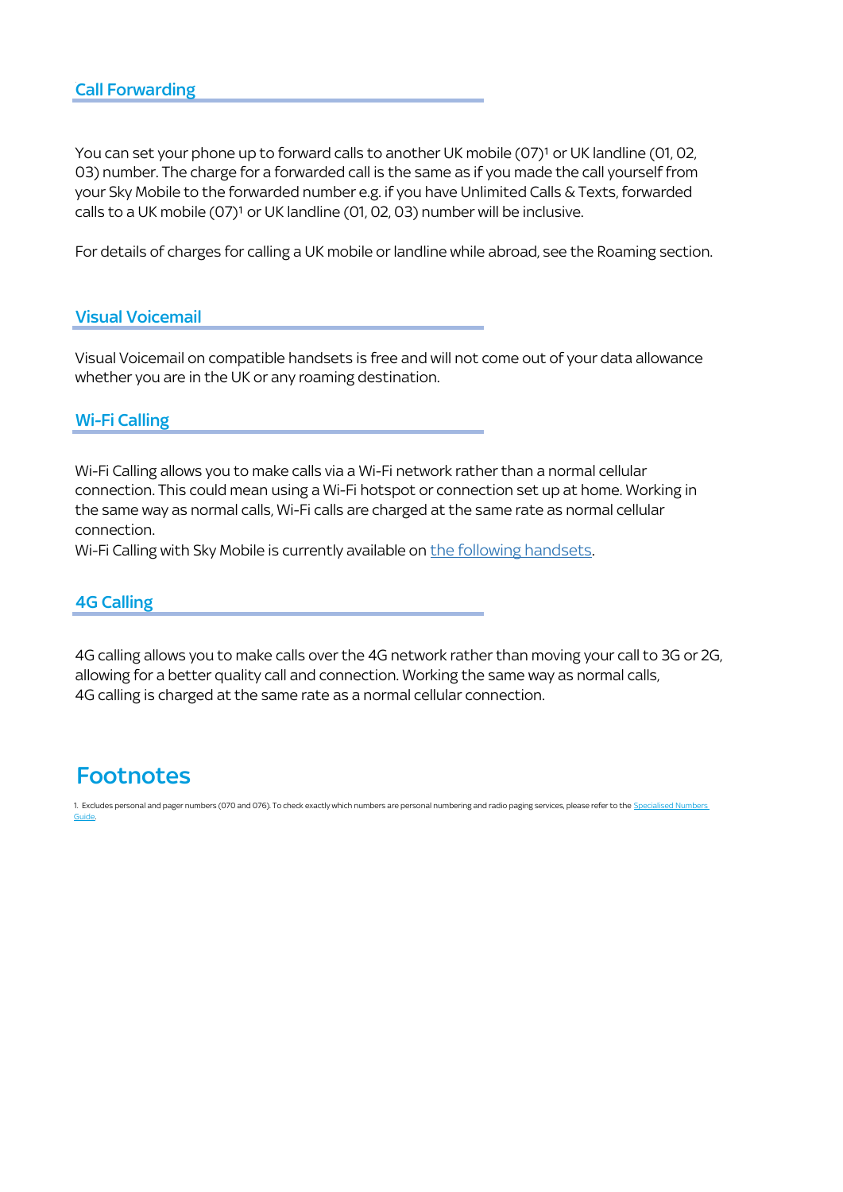[You can set your phone up to forward calls to another UK mo](http://[s2l0];/#)bile (07)<sup>1</sup> or UK landline (01, 02, [03\) number. The charge for a forwarded call is the same as if](http://[s2l0];/#) you made the call yourself from [your Sky Mobile to the forwarded number e.g. if you have Unl](http://[s2l0];/#)imited Calls & Texts, forwarded calls to a UK mobile (07)<sup>1</sup> or UK landline (01, 02, 03) number will be inclusive.

[For details of charges for calling a UK mobile or landline while](http://[s2l0];/#) abroad, see the Roaming section.

### Visual Voicemail

Visual Voicemail on compatible handsets is free and will not come out of your data allowance whether you are in the UK or any roaming destination.

### Wi-Fi Calling

[Wi-Fi Calling allows you to make calls via a Wi-Fi network rath](https://www.sky.com/help/articles/wi-fi-calling?DCMP=emc-skycom:na_wifi_calling)er than a normal cellular [connection. This could mean using a Wi-Fi hotspot or connec](https://www.sky.com/help/articles/wi-fi-calling?DCMP=emc-skycom:na_wifi_calling)tion set up at home. Working in [the same way as normal calls, Wi-Fi calls are charged at the sa](https://www.sky.com/help/articles/wi-fi-calling?DCMP=emc-skycom:na_wifi_calling)me rate as normal cellular [connection.](https://www.sky.com/help/articles/wi-fi-calling?DCMP=emc-skycom:na_wifi_calling) 

[Wi-Fi Calling with Sky Mobile is currently available on the following handsets](https://www.sky.com/help/articles/wi-fi-calling?DCMP=emc-skycom:na_wifi_calling).

#### 4G Calling

4G calling allows you to make calls over the 4G network rather than moving your call to 3G or 2G, allowing for a better quality call and connection. Working the same way as normal calls, 4G calling is charged at the same rate as a normal cellular connection.

### **Footnotes**

[1. Excludes personal and pager numbers \(070 and 076\). To check exactly which numbers are personal numbering and radio paging services, please refer to the S](https://www.sky.com/help/articles/sky-talk-specialised-phone-numbers)pecialised Numbers [Guide.](https://www.sky.com/help/articles/sky-talk-specialised-phone-numbers)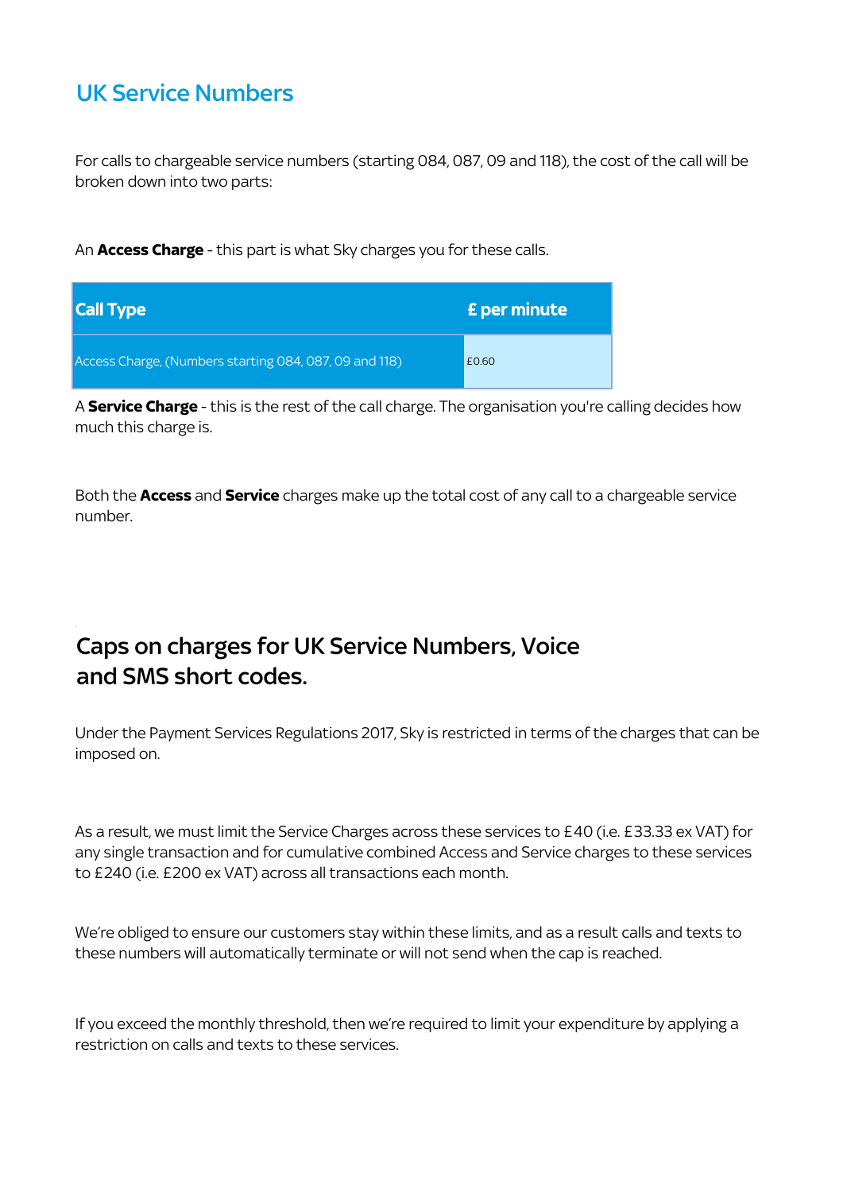# UK Service Numbers

For calls to chargeable service numbers (starting 084, 087, 09 and 118), the cost of the call will be broken down into two parts:

An **Access Charge** - this part is what Sky charges you for these calls.

| Call Type                                              | <b>£</b> per minute |
|--------------------------------------------------------|---------------------|
| Access Charge, (Numbers starting 084, 087, 09 and 118) | £0.60               |

A **Service Charge** - this is the rest of the call charge. The organisation you're calling decides how much this charge is.

Both the **Access** and **Service** charges make up the total cost of any call to a chargeable service number.

# Caps on charges for UK Service Numbers, Voice and SMS short codes.

Under the Payment Services Regulations 2017, Sky is restricted in terms of the charges that can be imposed on.

As a result, we must limit the Service Charges across these services to £40 (i.e. £33.33 ex VAT) for any single transaction and for cumulative combined Access and Service charges to these services to £240 (i.e. £200 ex VAT) across all transactions each month.

We're obliged to ensure our customers stay within these limits, and as a result calls and texts to these numbers will automatically terminate or will not send when the cap is reached.

If you exceed the monthly threshold, then we're required to limit your expenditure by applying a restriction on calls and texts to these services.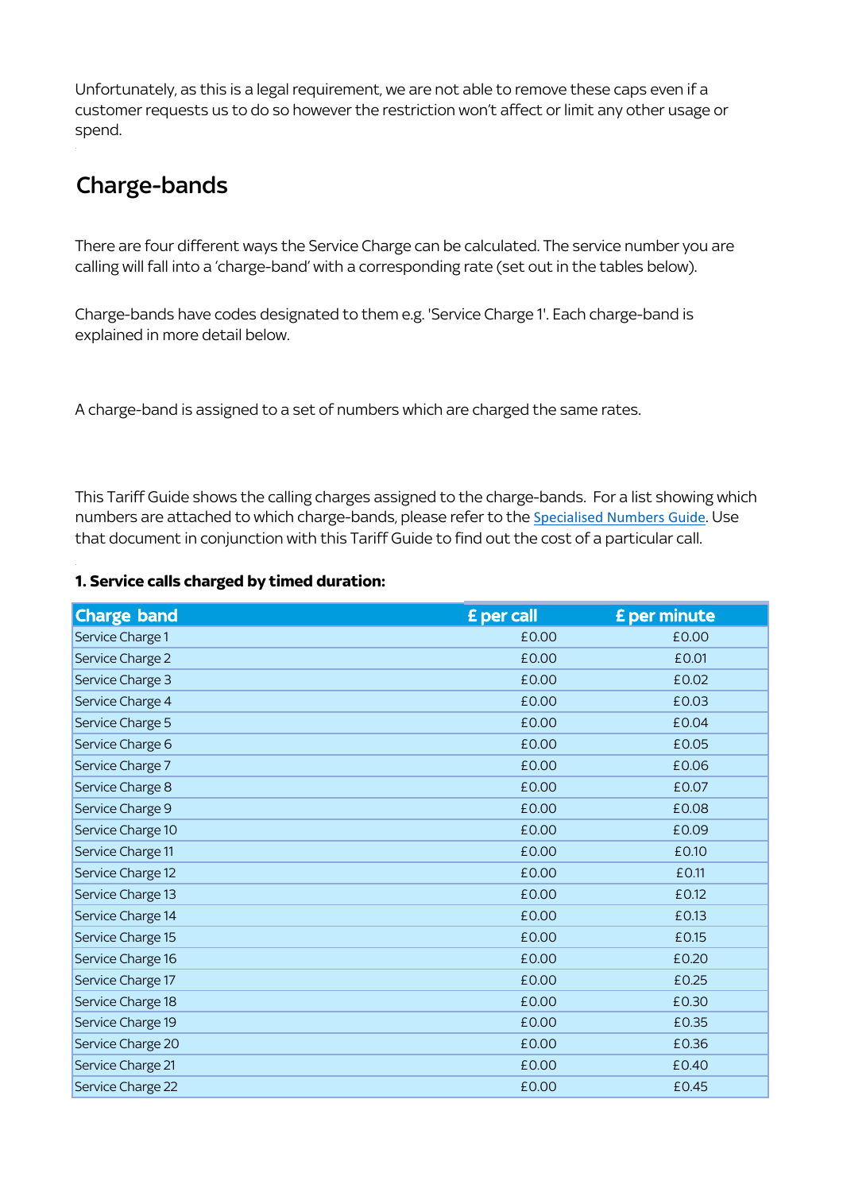Unfortunately, as this is a legal requirement, we are not able to remove these caps even if a customer requests us to do so however the restriction won't affect or limit any other usage or spend.

# Charge-bands

There are four different ways the Service Charge can be calculated. The service number you are calling will fall into a 'charge-band' with a corresponding rate (set out in the tables below).

Charge-bands have codes designated to them e.g. 'Service Charge 1'. Each charge-band is explained in more detail below.

A charge-band is assigned to a set of numbers which are charged the same rates.

 [This Tariff Guide shows the calling charges assigned to t](https://www.sky.com/help/articles/sky-talk-specialised-phone-numbers)he charge-bands. For a list showing which [numbers are attached to which charge-bands, please refer to the](https://www.sky.com/help/articles/sky-talk-specialised-phone-numbers) [Specialised Numbers Guide](https://www.sky.com/help/articles/sky-talk-specialised-phone-numbers). Use [that document in conjunction with this Tariff Guide to fi](https://www.sky.com/help/articles/sky-talk-specialised-phone-numbers)nd out the cost of a particular call.

### **1. Service calls charged by timed duration:**

| <b>Charge band</b> | £ per call | £ per minute |
|--------------------|------------|--------------|
| Service Charge 1   | £0.00      | £0.00        |
| Service Charge 2   | £0.00      | £0.01        |
| Service Charge 3   | £0.00      | £0.02        |
| Service Charge 4   | £0.00      | £0.03        |
| Service Charge 5   | £0.00      | £0.04        |
| Service Charge 6   | £0.00      | £0.05        |
| Service Charge 7   | £0.00      | £0.06        |
| Service Charge 8   | £0.00      | £0.07        |
| Service Charge 9   | £0.00      | £0.08        |
| Service Charge 10  | £0.00      | £0.09        |
| Service Charge 11  | £0.00      | £0.10        |
| Service Charge 12  | £0.00      | £0.11        |
| Service Charge 13  | £0.00      | £0.12        |
| Service Charge 14  | £0.00      | £0.13        |
| Service Charge 15  | £0.00      | £0.15        |
| Service Charge 16  | £0.00      | £0.20        |
| Service Charge 17  | £0.00      | £0.25        |
| Service Charge 18  | £0.00      | £0.30        |
| Service Charge 19  | £0.00      | £0.35        |
| Service Charge 20  | £0.00      | £0.36        |
| Service Charge 21  | £0.00      | £0.40        |
| Service Charge 22  | £0.00      | £0.45        |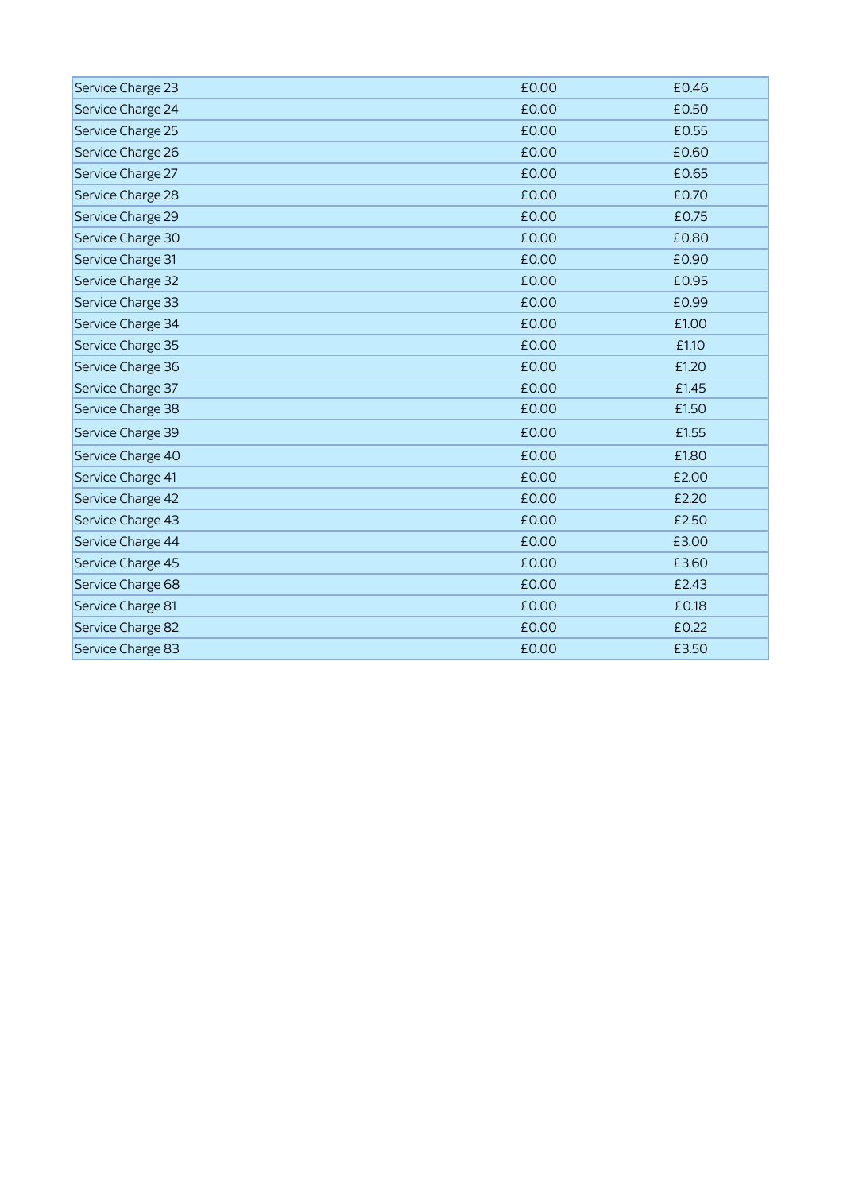| Service Charge 23 | £0.00 | £0.46 |
|-------------------|-------|-------|
| Service Charge 24 | £0.00 | £0.50 |
| Service Charge 25 | £0.00 | £0.55 |
| Service Charge 26 | £0.00 | £0.60 |
| Service Charge 27 | £0.00 | £0.65 |
| Service Charge 28 | £0.00 | £0.70 |
| Service Charge 29 | £0.00 | £0.75 |
| Service Charge 30 | £0.00 | £0.80 |
| Service Charge 31 | £0.00 | £0.90 |
| Service Charge 32 | £0.00 | £0.95 |
| Service Charge 33 | £0.00 | £0.99 |
| Service Charge 34 | £0.00 | £1.00 |
| Service Charge 35 | £0.00 | £1.10 |
| Service Charge 36 | £0.00 | £1.20 |
| Service Charge 37 | £0.00 | £1.45 |
| Service Charge 38 | £0.00 | £1.50 |
| Service Charge 39 | £0.00 | £1.55 |
| Service Charge 40 | £0.00 | £1.80 |
| Service Charge 41 | £0.00 | £2.00 |
| Service Charge 42 | £0.00 | £2.20 |
| Service Charge 43 | £0.00 | £2.50 |
| Service Charge 44 | £0.00 | £3.00 |
| Service Charge 45 | £0.00 | £3.60 |
| Service Charge 68 | £0.00 | £2.43 |
| Service Charge 81 | £0.00 | £0.18 |
| Service Charge 82 | £0.00 | £0.22 |
| Service Charge 83 | £0.00 | £3.50 |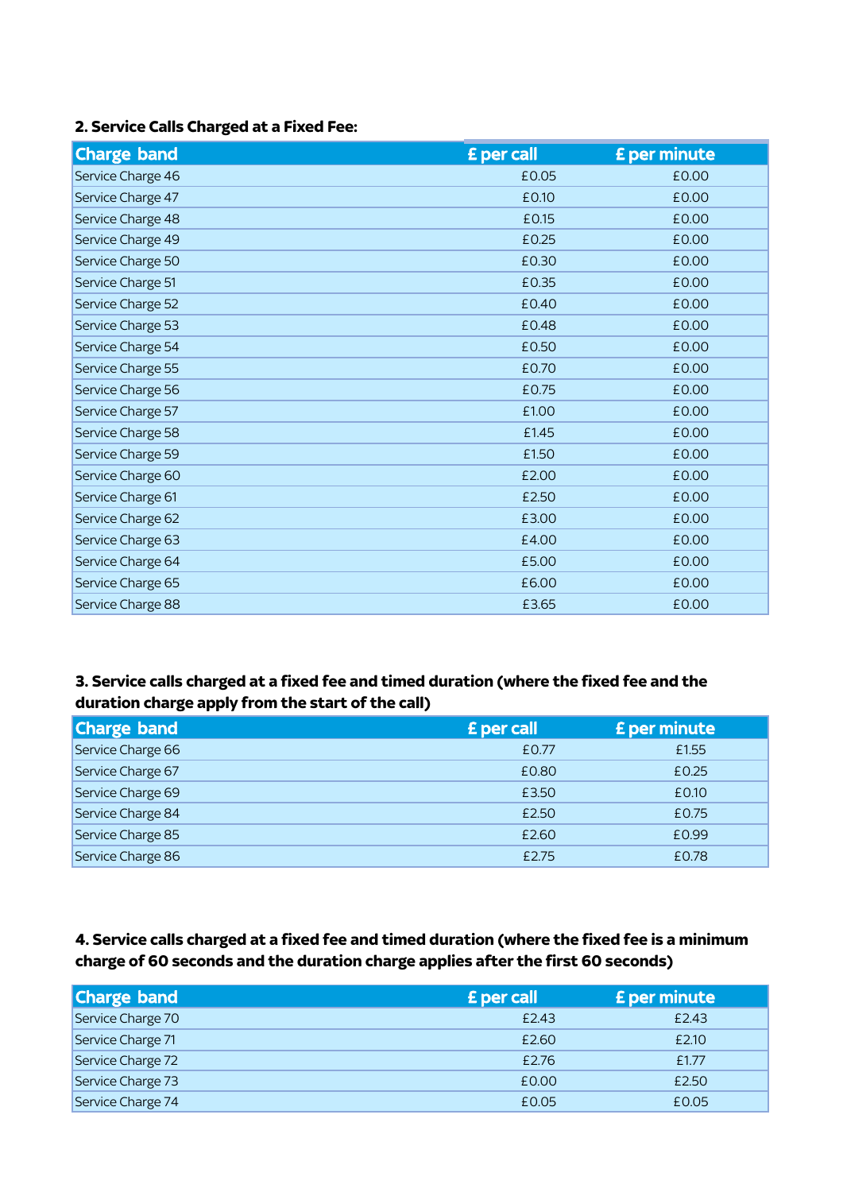### **2. Service Calls Charged at a Fixed Fee:**

| <b>Charge band</b> | £ per call | £ per minute |
|--------------------|------------|--------------|
| Service Charge 46  | £0.05      | £0.00        |
| Service Charge 47  | £0.10      | £0.00        |
| Service Charge 48  | £0.15      | £0.00        |
| Service Charge 49  | £0.25      | £0.00        |
| Service Charge 50  | £0.30      | £0.00        |
| Service Charge 51  | £0.35      | £0.00        |
| Service Charge 52  | £0.40      | £0.00        |
| Service Charge 53  | £0.48      | £0.00        |
| Service Charge 54  | £0.50      | £0.00        |
| Service Charge 55  | £0.70      | £0.00        |
| Service Charge 56  | £0.75      | £0.00        |
| Service Charge 57  | £1.00      | £0.00        |
| Service Charge 58  | £1.45      | £0.00        |
| Service Charge 59  | £1.50      | £0.00        |
| Service Charge 60  | £2.00      | £0.00        |
| Service Charge 61  | £2.50      | £0.00        |
| Service Charge 62  | £3.00      | £0.00        |
| Service Charge 63  | £4.00      | £0.00        |
| Service Charge 64  | £5.00      | £0.00        |
| Service Charge 65  | £6.00      | £0.00        |
| Service Charge 88  | £3.65      | £0.00        |

### **3. Service calls charged at a fixed fee and timed duration (where the fixed fee and the duration charge apply from the start of the call)**

| <b>Charge band</b> | £ per call | <b>£</b> per minute |
|--------------------|------------|---------------------|
| Service Charge 66  | £0.77      | £1.55               |
| Service Charge 67  | £0.80      | £0.25               |
| Service Charge 69  | £3.50      | £0.10               |
| Service Charge 84  | £2.50      | £0.75               |
| Service Charge 85  | £2.60      | £0.99               |
| Service Charge 86  | £2.75      | £0.78               |

### **4. Service calls charged at a fixed fee and timed duration (where the fixed fee is a minimum charge of 60 seconds and the duration charge applies after the first 60 seconds)**

| <b>Charge band</b> | <b>E</b> per call | <b>£</b> per minute |
|--------------------|-------------------|---------------------|
| Service Charge 70  | £2.43             | £2.43               |
| Service Charge 71  | £2.60             | £2.10               |
| Service Charge 72  | £2.76             | £1.77               |
| Service Charge 73  | £0.00             | £2.50               |
| Service Charge 74  | £0.05             | £0.05               |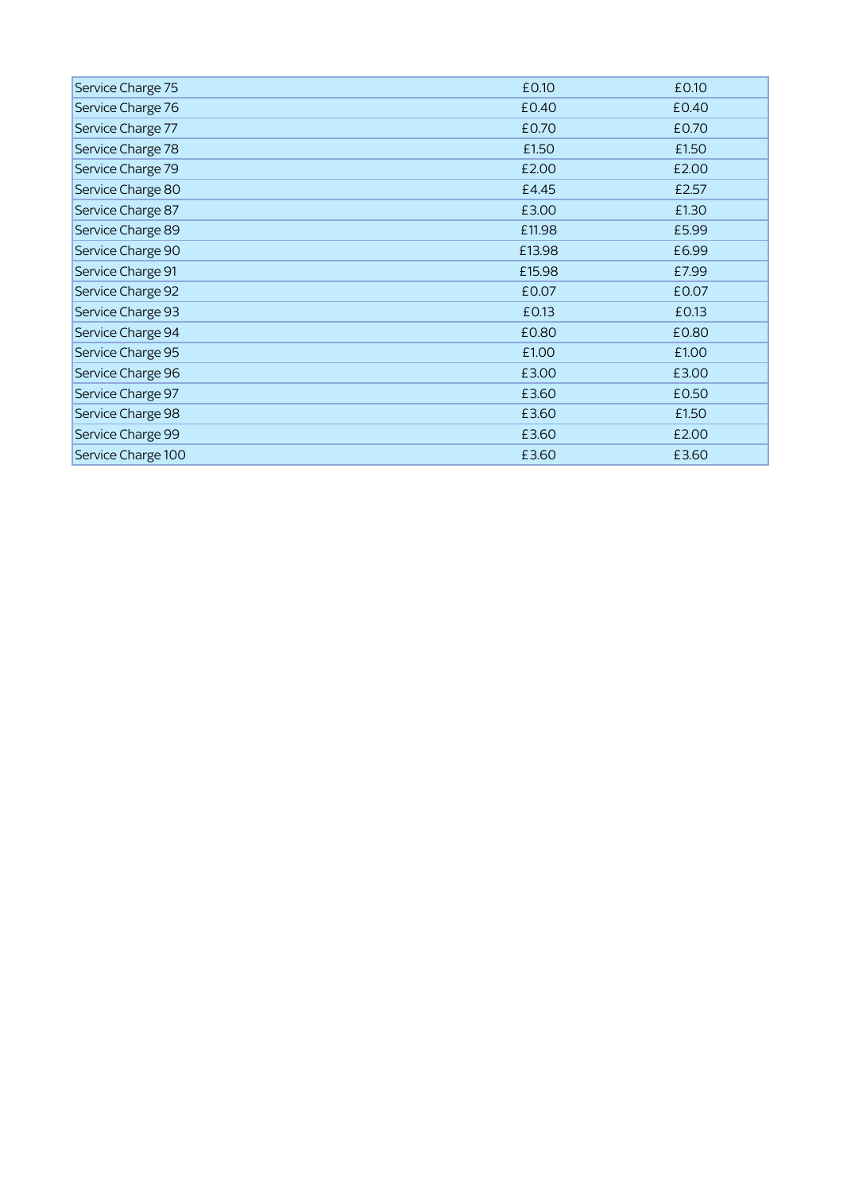| Service Charge 75  | £0.10  | £0.10 |
|--------------------|--------|-------|
| Service Charge 76  | £0.40  | £0.40 |
| Service Charge 77  | £0.70  | £0.70 |
| Service Charge 78  | £1.50  | £1.50 |
| Service Charge 79  | £2.00  | £2.00 |
| Service Charge 80  | £4.45  | £2.57 |
| Service Charge 87  | £3.00  | £1.30 |
| Service Charge 89  | £11.98 | £5.99 |
| Service Charge 90  | £13.98 | £6.99 |
| Service Charge 91  | £15.98 | £7.99 |
| Service Charge 92  | £0.07  | £0.07 |
| Service Charge 93  | £0.13  | £0.13 |
| Service Charge 94  | £0.80  | £0.80 |
| Service Charge 95  | £1.00  | £1.00 |
| Service Charge 96  | £3.00  | £3.00 |
| Service Charge 97  | £3.60  | £0.50 |
| Service Charge 98  | £3.60  | £1.50 |
| Service Charge 99  | £3.60  | £2.00 |
| Service Charge 100 | £3.60  | £3.60 |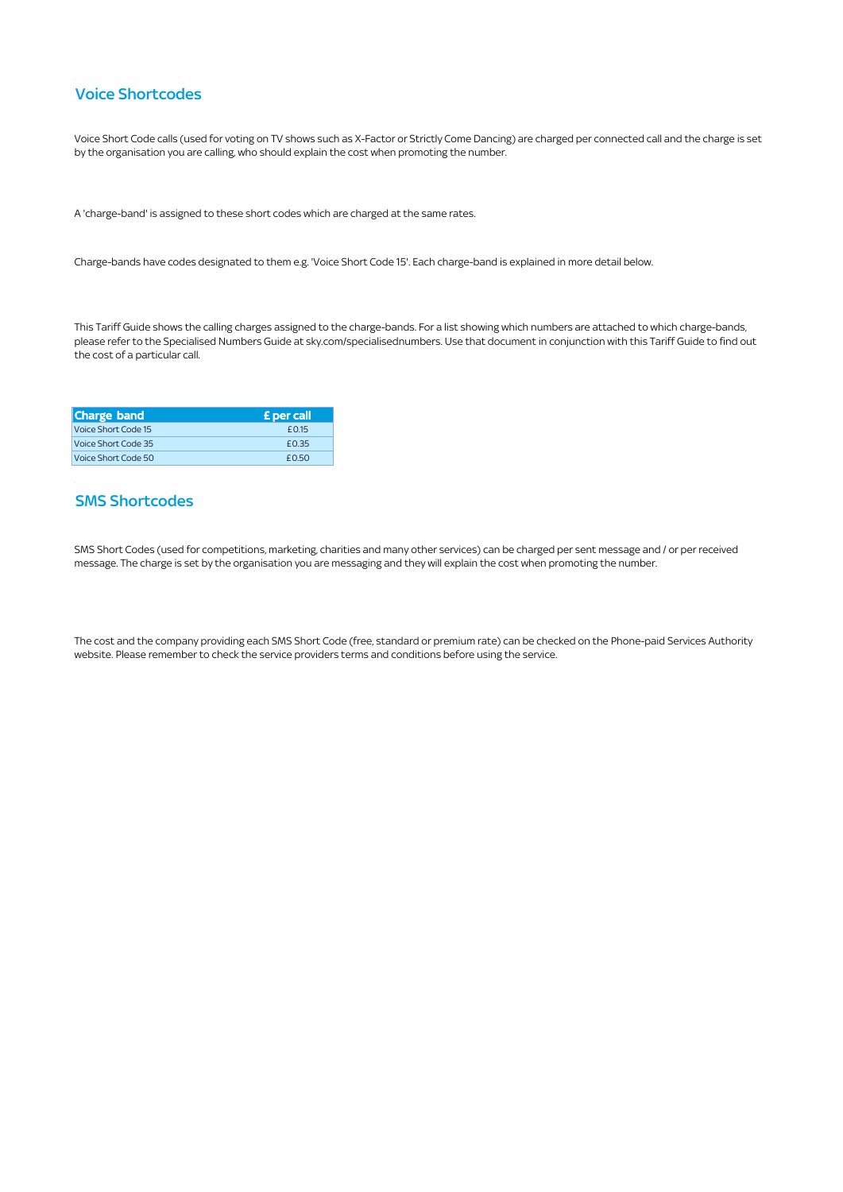#### Voice Shortcodes

Voice Short Code calls (used for voting on TV shows such as X-Factor or Strictly Come Dancing) are charged per connected call and the charge is set by the organisation you are calling, who should explain the cost when promoting the number.

A 'charge-band' is assigned to these short codes which are charged at the same rates.

Charge-bands have codes designated to them e.g. 'Voice Short Code 15'. Each charge-band is explained in more detail below.

This Tariff Guide shows the calling charges assigned to the charge-bands. For a list showing which numbers are attached to which charge-bands, please refer to the Specialised Numbers Guide at [sky.com/specialisednumbers](https://sky.com/specialisednumbers). Use that document in conjunction with this Tariff Guide to find out the cost of a particular call.

| <b>Charge band</b>  | <b>£</b> per call |
|---------------------|-------------------|
| Voice Short Code 15 | £0.15             |
| Voice Short Code 35 | £0.35             |
| Voice Short Code 50 | F050              |

#### SMS Shortcodes

 SMS Short Codes (used for competitions, marketing, charities and many other services) can be charged per sent message and / or per received message. The charge is set by the organisation you are messaging and they will explain the cost when promoting the number.

 The cost and the company providing each SMS Short Code (free, standard or premium rate) can be checked on the Phone-paid Services Authority website. Please remember to check the service providers terms and conditions before using the service.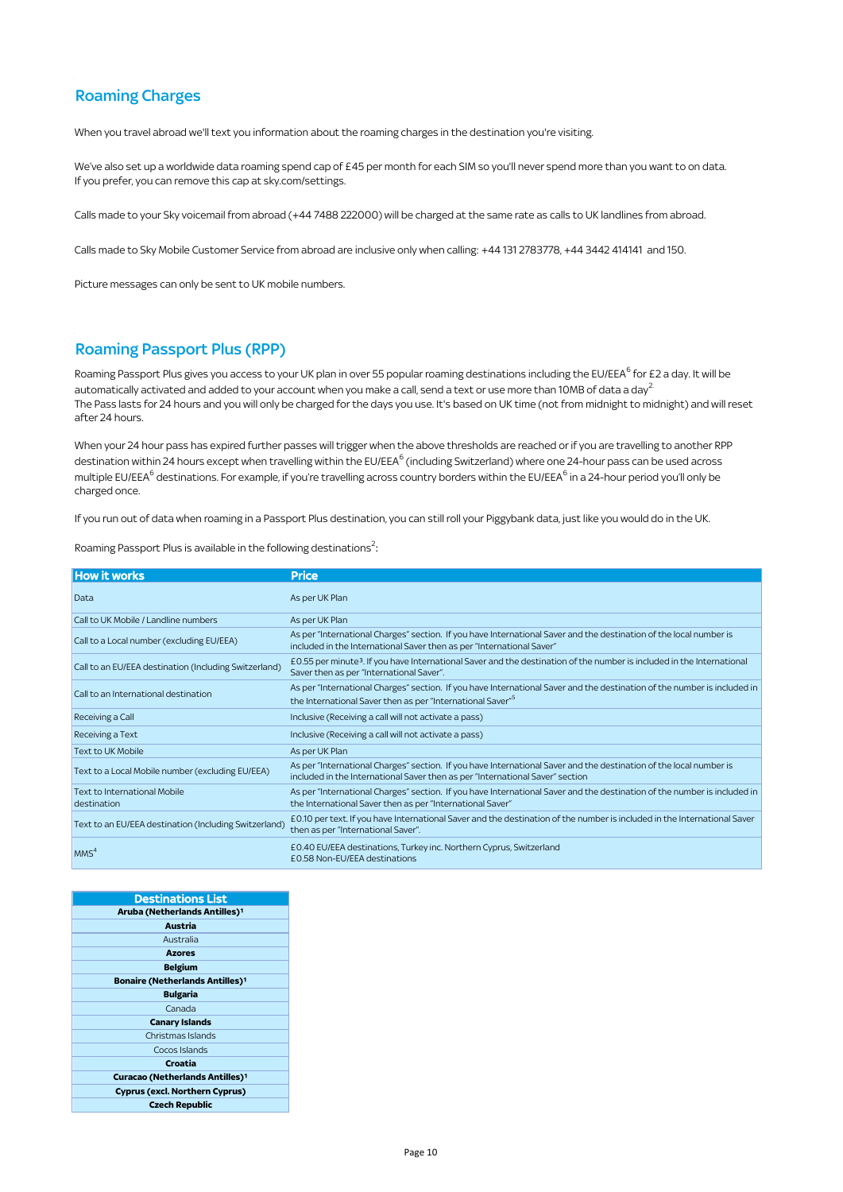### Roaming Charges

#### Roaming Passport Plus (RPP)

| <b>Roaming Charges</b>                                                                                          |                                                                                                                                                                                                                                                                                                                                                                                                                                                                              |  |  |  |
|-----------------------------------------------------------------------------------------------------------------|------------------------------------------------------------------------------------------------------------------------------------------------------------------------------------------------------------------------------------------------------------------------------------------------------------------------------------------------------------------------------------------------------------------------------------------------------------------------------|--|--|--|
| When you travel abroad we'll text you information about the roaming charges in the destination you're visiting. |                                                                                                                                                                                                                                                                                                                                                                                                                                                                              |  |  |  |
| If you prefer, you can remove this cap at sky.com/settings.                                                     | We've also set up a worldwide data roaming spend cap of £45 per month for each SIM so you'll never spend more than you want to on data.                                                                                                                                                                                                                                                                                                                                      |  |  |  |
|                                                                                                                 | Calls made to your Sky voicemail from abroad (+44 7488 222000) will be charged at the same rate as calls to UK landlines from abroad.                                                                                                                                                                                                                                                                                                                                        |  |  |  |
|                                                                                                                 | Calls made to Sky Mobile Customer Service from abroad are inclusive only when calling: +44 131 2783778, +44 3442 414141 and 150.                                                                                                                                                                                                                                                                                                                                             |  |  |  |
| Picture messages can only be sent to UK mobile numbers.                                                         |                                                                                                                                                                                                                                                                                                                                                                                                                                                                              |  |  |  |
| <b>Roaming Passport Plus (RPP)</b>                                                                              |                                                                                                                                                                                                                                                                                                                                                                                                                                                                              |  |  |  |
| after 24 hours.                                                                                                 | Roaming Passport Plus gives you access to your UK plan in over 55 popular roaming destinations including the EU/EEA <sup>6</sup> for £2 a day. It will be<br>automatically activated and added to your account when you make a call, send a text or use more than 10MB of data a day <sup>2</sup><br>The Pass lasts for 24 hours and you will only be charged for the days you use. It's based on UK time (not from midnight to midnight) and will reset                     |  |  |  |
| charged once.                                                                                                   | When your 24 hour pass has expired further passes will trigger when the above thresholds are reached or if you are travelling to another RPP<br>destination within 24 hours except when travelling within the EU/EEA <sup>6</sup> (including Switzerland) where one 24-hour pass can be used across<br>multiple EU/EEA <sup>6</sup> destinations. For example, if you're travelling across country borders within the EU/EEA <sup>6</sup> in a 24-hour period you'll only be |  |  |  |
|                                                                                                                 | If you run out of data when roaming in a Passport Plus destination, you can still roll your Piggybank data, just like you would do in the UK.                                                                                                                                                                                                                                                                                                                                |  |  |  |
| Roaming Passport Plus is available in the following destinations <sup>2</sup> :                                 |                                                                                                                                                                                                                                                                                                                                                                                                                                                                              |  |  |  |
| <b>How it works</b>                                                                                             | <b>Price</b>                                                                                                                                                                                                                                                                                                                                                                                                                                                                 |  |  |  |
| Data                                                                                                            | As per UK Plan                                                                                                                                                                                                                                                                                                                                                                                                                                                               |  |  |  |
| Call to UK Mobile / Landline numbers                                                                            | As per UK Plan                                                                                                                                                                                                                                                                                                                                                                                                                                                               |  |  |  |
| Call to a Local number (excluding EU/EEA)                                                                       | As per "International Charges" section. If you have International Saver and the destination of the local number is<br>included in the International Saver then as per "International Saver"                                                                                                                                                                                                                                                                                  |  |  |  |
| Call to an EU/EEA destination (Including Switzerland)                                                           | £0.55 per minute <sup>3</sup> . If you have International Saver and the destination of the number is included in the International<br>Saver then as per "International Saver".                                                                                                                                                                                                                                                                                               |  |  |  |
| Call to an International destination                                                                            | As per "International Charges" section. If you have International Saver and the destination of the number is included in<br>the International Saver then as per "International Saver" <sup>5</sup>                                                                                                                                                                                                                                                                           |  |  |  |
| Receiving a Call                                                                                                | Inclusive (Receiving a call will not activate a pass)                                                                                                                                                                                                                                                                                                                                                                                                                        |  |  |  |
| Receiving a Text                                                                                                | Inclusive (Receiving a call will not activate a pass)                                                                                                                                                                                                                                                                                                                                                                                                                        |  |  |  |
| Text to UK Mobile                                                                                               | As per UK Plan                                                                                                                                                                                                                                                                                                                                                                                                                                                               |  |  |  |
| Text to a Local Mobile number (excluding EU/EEA)                                                                | As per "International Charges" section. If you have International Saver and the destination of the local number is<br>included in the International Saver then as per "International Saver" section                                                                                                                                                                                                                                                                          |  |  |  |
| Text to International Mobile<br>destination                                                                     | As per "International Charges" section. If you have International Saver and the destination of the number is included in<br>the International Saver then as per "International Saver"                                                                                                                                                                                                                                                                                        |  |  |  |
| Text to an EU/EEA destination (Including Switzerland)                                                           | £0.10 per text. If you have International Saver and the destination of the number is included in the International Saver<br>then as per "International Saver".                                                                                                                                                                                                                                                                                                               |  |  |  |
| MMS <sup>4</sup>                                                                                                | £0.40 EU/EEA destinations, Turkey inc. Northern Cyprus, Switzerland<br>£0.58 Non-EU/EEA destinations                                                                                                                                                                                                                                                                                                                                                                         |  |  |  |

| <b>Destinations List</b>                  |
|-------------------------------------------|
| Aruba (Netherlands Antilles) <sup>1</sup> |
| <b>Austria</b>                            |
| Australia                                 |
| <b>Azores</b>                             |
| <b>Belgium</b>                            |
| <b>Bonaire (Netherlands Antilles)1</b>    |
| <b>Bulgaria</b>                           |
| Canada                                    |
| <b>Canary Islands</b>                     |
| Christmas Islands                         |
| Cocos Islands                             |
| Croatia                                   |
| <b>Curacao (Netherlands Antilles)1</b>    |
| <b>Cyprus (excl. Northern Cyprus)</b>     |
| <b>Czech Republic</b>                     |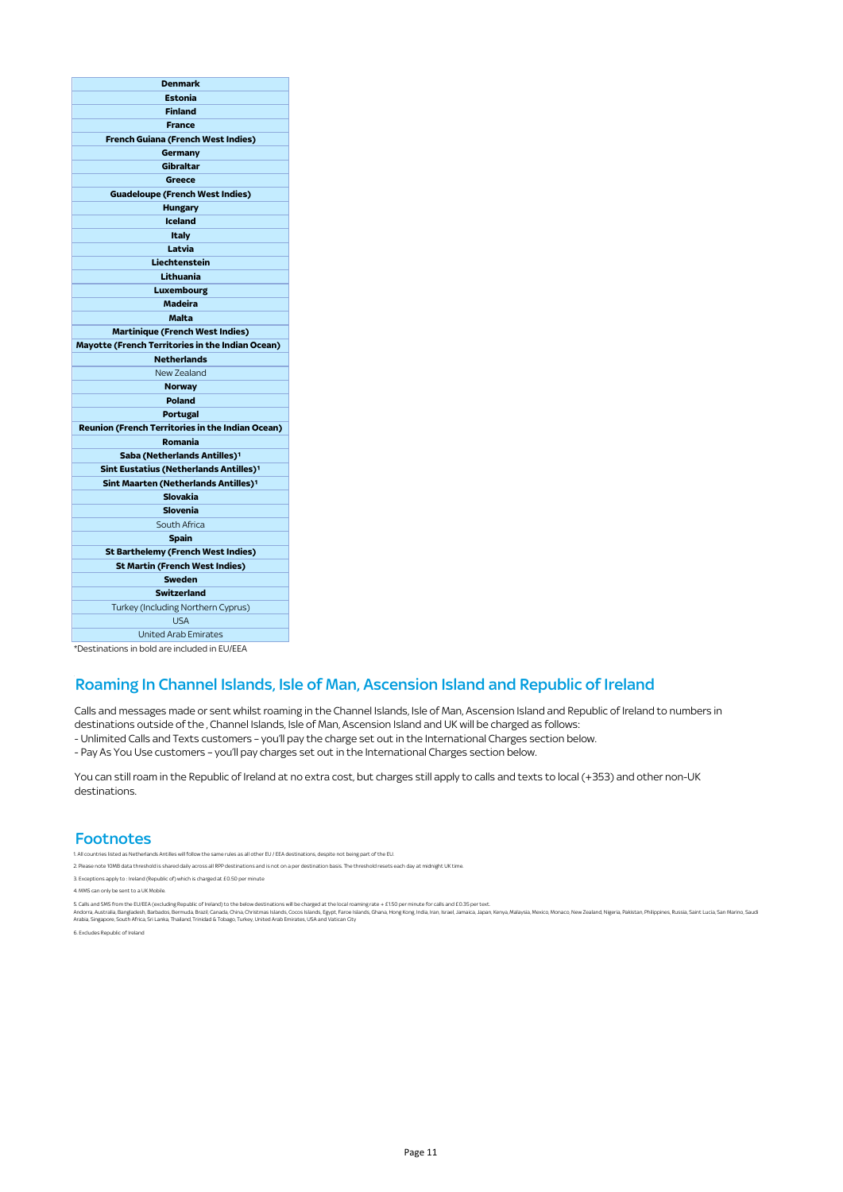| <b>Denmark</b>                                     |  |  |
|----------------------------------------------------|--|--|
| <b>Estonia</b>                                     |  |  |
| <b>Finland</b>                                     |  |  |
| <b>France</b>                                      |  |  |
| French Guiana (French West Indies)                 |  |  |
| Germany                                            |  |  |
| Gibraltar                                          |  |  |
| Greece                                             |  |  |
| <b>Guadeloupe (French West Indies)</b>             |  |  |
| <b>Hungary</b>                                     |  |  |
| Iceland                                            |  |  |
| Italy                                              |  |  |
| Latvia                                             |  |  |
| Liechtenstein                                      |  |  |
| Lithuania                                          |  |  |
| Luxembourg                                         |  |  |
| <b>Madeira</b>                                     |  |  |
| <b>Malta</b>                                       |  |  |
| <b>Martinique (French West Indies)</b>             |  |  |
| Mayotte (French Territories in the Indian Ocean)   |  |  |
| <b>Netherlands</b>                                 |  |  |
| <b>New Zealand</b>                                 |  |  |
| <b>Norway</b>                                      |  |  |
| <b>Poland</b>                                      |  |  |
| <b>Portugal</b>                                    |  |  |
| Reunion (French Territories in the Indian Ocean)   |  |  |
| Romania                                            |  |  |
| Saba (Netherlands Antilles) <sup>1</sup>           |  |  |
| Sint Eustatius (Netherlands Antilles) <sup>1</sup> |  |  |
| Sint Maarten (Netherlands Antilles) <sup>1</sup>   |  |  |
| <b>Slovakia</b>                                    |  |  |
| Slovenia                                           |  |  |
| South Africa                                       |  |  |
| <b>Spain</b>                                       |  |  |
| <b>St Barthelemy (French West Indies)</b>          |  |  |
| <b>St Martin (French West Indies)</b>              |  |  |
| Sweden                                             |  |  |
| <b>Switzerland</b>                                 |  |  |
| Turkey (Including Northern Cyprus)                 |  |  |
| <b>USA</b>                                         |  |  |
| <b>United Arab Emirates</b>                        |  |  |
|                                                    |  |  |

#### \*Destinations in bold are included in EU/EEA

#### Roaming In Channel Islands, Isle of Man, Ascension Island and Republic of Ireland

Calls and messages made or sent whilst roaming in the Channel Islands, Isle of Man, Ascension Island and Republic of Ireland to numbers in destinations outside of the , Channel Islands, Isle of Man, Ascension Island and UK will be charged as follows:

- Unlimited Calls and Texts customers – you'll pay the charge set out in the International Charges section below.

- Pay As You Use customers – you'll pay charges set out in the International Charges section below.

 You can still roam in the Republic of Ireland at no extra cost, but charges still apply to calls and texts to local (+353) and other non-UK destinations.

#### **Footnotes**

1. All countries listed as Netherlands Antilles will follow the same rules as all other EU / EEA destinations, despite not being part of the EU.

2. Please note 10MB data threshold is shared daily across all RPP destinations and is not on a per destination basis. The threshold resets each day at midnight UK time.

3. Exceptions apply to : Ireland (Republic of) which is charged at £0.50 per minute

4. MMS can only be sent to a UK Mobile.

. Calls and SMS from the EU/EE<br>ndorra, Australia, Bangladesh,<br>rabia, Singapore, South Africa, 5. Calls and SMS from the EU/EEA (excluding Republic of Ireland) to the below destinations will be charged at the local roaming rate + £ 150 per minute for calls and £0.35 per text.<br>Andora, Australia, Bayladash, Barbado, B

6. Excludes Republic of Ireland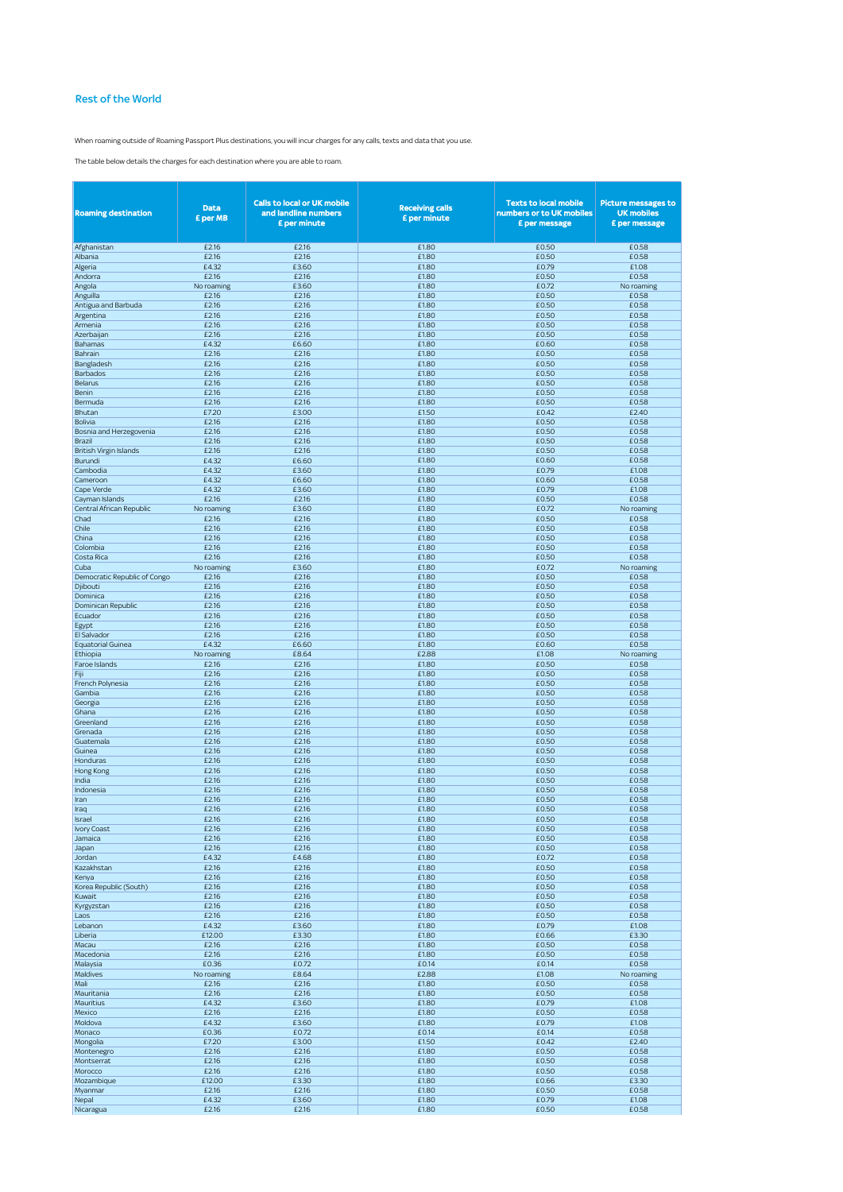#### Rest of the World

When roaming outside of Roaming Passport Plus destinations, you will incur charges for any calls, texts and data that you use.

The table below details the charges for each destination where you are able to roam.

| <b>Roaming destination</b>    | <b>Data</b><br><b>E</b> per MB | <b>Calls to local or UK mobile</b><br>and landline numbers<br>£ per minute | <b>Receiving calls</b><br>£ per minute | <b>Texts to local mobile</b><br>numbers or to UK mobiles<br>£ per message | <b>Picture messages to</b><br><b>UK mobiles</b><br>£ per message |
|-------------------------------|--------------------------------|----------------------------------------------------------------------------|----------------------------------------|---------------------------------------------------------------------------|------------------------------------------------------------------|
| Afghanistan                   | £2.16                          | £2.16                                                                      | £1.80                                  | £0.50                                                                     | £0.58                                                            |
| Albania                       | £2.16                          | £2.16                                                                      | £1.80                                  | £0.50                                                                     | £0.58                                                            |
| Algeria                       | £4.32                          | £3.60                                                                      | £1.80                                  | £0.79                                                                     | £1.08                                                            |
| Andorra                       | £2.16                          | £2.16                                                                      | £1.80                                  | £0.50                                                                     | £0.58                                                            |
| Angola                        | No roaming                     | £3.60                                                                      | £1.80                                  | £0.72                                                                     | No roaming                                                       |
| Anguilla                      | £2.16                          | £2.16                                                                      | £1.80                                  | £0.50                                                                     | £0.58                                                            |
| Antigua and Barbuda           | £2.16                          | £2.16                                                                      | £1.80                                  | £0.50                                                                     | £0.58                                                            |
| Argentina                     | £2.16                          | £2.16                                                                      | £1.80                                  | £0.50                                                                     | £0.58                                                            |
| Armenia                       | £2.16                          | £2.16                                                                      | £1.80                                  | £0.50                                                                     | £0.58                                                            |
| Azerbaijan                    | £2.16                          | £2.16                                                                      | £1.80                                  | £0.50                                                                     | £0.58                                                            |
| Bahamas                       | £4.32<br>£2.16                 | £6.60<br>£2.16                                                             | £1.80<br>£1.80                         | £0.60<br>£0.50                                                            | £0.58<br>£0.58                                                   |
| Bahrain<br>Bangladesh         | £2.16                          | £2.16                                                                      | £1.80                                  | £0.50                                                                     | £0.58                                                            |
| Barbados                      | £2.16                          | £2.16                                                                      | £1.80                                  | £0.50                                                                     | £0.58                                                            |
| Belarus                       | £2.16                          | £2.16                                                                      | £1.80                                  | £0.50                                                                     | £0.58                                                            |
| Benin                         | £2.16                          | £2.16                                                                      | £1.80                                  | £0.50                                                                     | £0.58                                                            |
| Bermuda                       | £2.16                          | £2.16                                                                      | £1.80                                  | £0.50                                                                     | £0.58                                                            |
| Bhutan                        | £7.20                          | £3.00                                                                      | £1.50                                  | £0.42                                                                     | £2.40                                                            |
| Bolivia                       | £2.16                          | £2.16                                                                      | £1.80                                  | £0.50                                                                     | £0.58                                                            |
| Bosnia and Herzegovenia       | £2.16                          | £2.16                                                                      | £1.80                                  | £0.50                                                                     | £0.58                                                            |
| Brazil                        | £2.16                          | £2.16                                                                      | £1.80                                  | £0.50                                                                     | £0.58                                                            |
| <b>British Virgin Islands</b> | £2.16                          | £2.16                                                                      | £1.80                                  | £0.50                                                                     | £0.58                                                            |
| Burundi                       | £4.32                          | £6.60                                                                      | £1.80                                  | £0.60                                                                     | £0.58                                                            |
| Cambodia                      | £4.32                          | £3.60                                                                      | £1.80                                  | £0.79                                                                     | £1.08                                                            |
| Cameroon                      | £4.32                          | £6.60                                                                      | £1.80                                  | £0.60                                                                     | £0.58                                                            |
| Cape Verde                    | £4.32                          | £3.60                                                                      | £1.80                                  | £0.79                                                                     | £1.08                                                            |
| Cayman Islands                | £2.16                          | £2.16                                                                      | £1.80                                  | £0.50                                                                     | £0.58                                                            |
| Central African Republic      | No roaming                     | £3.60                                                                      | £1.80                                  | £0.72                                                                     | No roaming                                                       |
| Chad<br>Chile                 | £2.16<br>£2.16                 | £2.16<br>£2.16                                                             | £1.80<br>£1.80                         | £0.50<br>£0.50                                                            | £0.58<br>£0.58                                                   |
|                               | £2.16                          | £2.16                                                                      | £1.80                                  | £0.50                                                                     | £0.58                                                            |
| China<br>Colombia             | £2.16                          | £2.16                                                                      | £1.80                                  | £0.50                                                                     | £0.58                                                            |
| Costa Rica                    | £2.16                          | £2.16                                                                      | £1.80                                  | £0.50                                                                     | £0.58                                                            |
| Cuba                          | No roaming                     | £3.60                                                                      | £1.80                                  | £0.72                                                                     | No roaming                                                       |
| Democratic Republic of Congo  | £2.16                          | £2.16                                                                      | £1.80                                  | £0.50                                                                     | £0.58                                                            |
| Djibouti                      | £2.16                          | £2.16                                                                      | £1.80                                  | £0.50                                                                     | £0.58                                                            |
| Dominica                      | £2.16                          | £2.16                                                                      | £1.80                                  | £0.50                                                                     | £0.58                                                            |
| Dominican Republic            | £2.16                          | £2.16                                                                      | £1.80                                  | £0.50                                                                     | £0.58                                                            |
| Ecuador                       | £2.16                          | £2.16                                                                      | £1.80                                  | £0.50                                                                     | £0.58                                                            |
| Egypt                         | £2.16                          | £2.16                                                                      | £1.80                                  | £0.50                                                                     | £0.58                                                            |
| <b>El Salvador</b>            | £2.16                          | £2.16                                                                      | £1.80                                  | £0.50                                                                     | £0.58                                                            |
| Equatorial Guinea             | £4.32                          | £6.60                                                                      | £1.80                                  | £0.60                                                                     | £0.58                                                            |
| Ethiopia                      | No roaming                     | £8.64                                                                      | £2.88                                  | £1.08                                                                     | No roaming                                                       |
| Faroe Islands                 | £2.16                          | £2.16                                                                      | £1.80                                  | £0.50                                                                     | £0.58                                                            |
| Fiji                          | £2.16                          | £2.16                                                                      | £1.80                                  | £0.50                                                                     | £0.58                                                            |
| French Polynesia<br>Gambia    | £2.16<br>£2.16                 | £2.16<br>£2.16                                                             | £1.80<br>£1.80                         | £0.50<br>£0.50                                                            | £0.58<br>£0.58                                                   |
| Georgia                       | £2.16                          | £2.16                                                                      | £1.80                                  | £0.50                                                                     | £0.58                                                            |
| Ghana                         | £2.16                          | £2.16                                                                      | £1.80                                  | £0.50                                                                     | £0.58                                                            |
| Greenland                     | £2.16                          | £2.16                                                                      | £1.80                                  | £0.50                                                                     | £0.58                                                            |
| Grenada                       | £2.16                          | £2.16                                                                      | £1.80                                  | £0.50                                                                     | £0.58                                                            |
| Guatemala                     | £2.16                          | £2.16                                                                      | £1.80                                  | £0.50                                                                     | £0.58                                                            |
| Guinea                        | £2.16                          | £2.16                                                                      | £1.80                                  | £0.50                                                                     | £0.58                                                            |
| Honduras                      | £2.16                          | £2.16                                                                      | £1.80                                  | £0.50                                                                     | £0.58                                                            |
| Hong Kong                     | £2.16                          | £2.16                                                                      | £1.80                                  | £0.50                                                                     | £0.58                                                            |
| India                         | £2.16                          | £2.16                                                                      | £1.80                                  | £0.50                                                                     | £0.58                                                            |
| Indonesia                     | £2.16                          | £2.16                                                                      | £1.80                                  | £0.50                                                                     | £0.58                                                            |
| Iran                          | £2.16                          | £2.16                                                                      | £1.80                                  | £0.50                                                                     | £0.58                                                            |
| Iraq                          | £2.16                          | £2.16                                                                      | £1.80                                  | £0.50                                                                     | £0.58                                                            |
| Israel                        | £2.16                          | £2.16                                                                      | £1.80                                  | £0.50                                                                     | £0.58                                                            |
| Ivory Coast                   | £2.16                          | £2.16                                                                      | £1.80                                  | £0.50                                                                     | £0.58                                                            |
| Jamaica<br>Japan              | £2.16<br>£2.16                 | £2.16<br>£2.16                                                             | £1.80<br>£1.80                         | £0.50<br>£0.50                                                            | £0.58<br>£0.58                                                   |
|                               |                                |                                                                            |                                        |                                                                           |                                                                  |
| Jordan<br>Kazakhstan          | £4.32<br>£2.16                 | £4.68<br>£2.16                                                             | £1.80<br>£1.80                         | £0.72<br>£0.50                                                            | £0.58<br>£0.58                                                   |
| Kenya                         | £2.16                          | £2.16                                                                      | £1.80                                  | £0.50                                                                     | £0.58                                                            |
| Korea Republic (South)        | £2.16                          | £2.16                                                                      | £1.80                                  | £0.50                                                                     | £0.58                                                            |
| Kuwait                        | £2.16                          | £2.16                                                                      | £1.80                                  | £0.50                                                                     | £0.58                                                            |
| Kyrgyzstan                    | £2.16                          | £2.16                                                                      | £1.80                                  | £0.50                                                                     | £0.58                                                            |
| Laos                          | £2.16                          | £2.16                                                                      | £1.80                                  | £0.50                                                                     | £0.58                                                            |
| Lebanon                       | £4.32                          | £3.60                                                                      | £1.80                                  | £0.79                                                                     | £1.08                                                            |
| Liberia                       | £12.00                         | £3.30                                                                      | £1.80                                  | £0.66                                                                     | £3.30                                                            |
| Macau                         | £2.16                          | £2.16                                                                      | £1.80                                  | £0.50                                                                     | £0.58                                                            |
| Macedonia                     | £2.16                          | £2.16                                                                      | £1.80                                  | £0.50                                                                     | £0.58                                                            |
| Malaysia                      | £0.36                          | £0.72                                                                      | £0.14                                  | £0.14                                                                     | £0.58                                                            |
| Maldives                      | No roaming                     | £8.64                                                                      | £2.88                                  | £1.08                                                                     | No roaming                                                       |
| Mali                          | £2.16                          | £2.16                                                                      | £1.80                                  | £0.50                                                                     | £0.58                                                            |
| Mauritania                    | £2.16                          | £2.16                                                                      | £1.80                                  | £0.50                                                                     | £0.58                                                            |
| Mauritius                     | £4.32                          | £3.60                                                                      | £1.80                                  | £0.79                                                                     | £1.08                                                            |
| Mexico                        | £2.16                          | £2.16                                                                      | £1.80                                  | £0.50                                                                     | £0.58                                                            |
| Moldova<br>Monaco             | £4.32<br>£0.36                 | £3.60<br>£0.72                                                             | £1.80<br>£0.14                         | £0.79<br>£0.14                                                            | £1.08<br>£0.58                                                   |
| Mongolia                      | £7.20                          | £3.00                                                                      | £1.50                                  | £0.42                                                                     | £2.40                                                            |
| Montenegro                    | £2.16                          | £2.16                                                                      | £1.80                                  | £0.50                                                                     | £0.58                                                            |
| Montserrat                    | £2.16                          | £2.16                                                                      | £1.80                                  | £0.50                                                                     | £0.58                                                            |
| Morocco                       | £2.16                          | £2.16                                                                      | £1.80                                  | £0.50                                                                     | £0.58                                                            |
| Mozambique                    | £12.00                         | £3.30                                                                      | £1.80                                  | £0.66                                                                     | £3.30                                                            |
| Myanmar                       | £2.16                          | £2.16                                                                      | £1.80                                  | £0.50                                                                     | £0.58                                                            |
| Nepal                         | £4.32                          | £3.60                                                                      | £1.80                                  | £0.79                                                                     | £1.08                                                            |
| Nicaragua                     | £2.16                          | £2.16                                                                      | £1.80                                  | £0.50                                                                     | £0.58                                                            |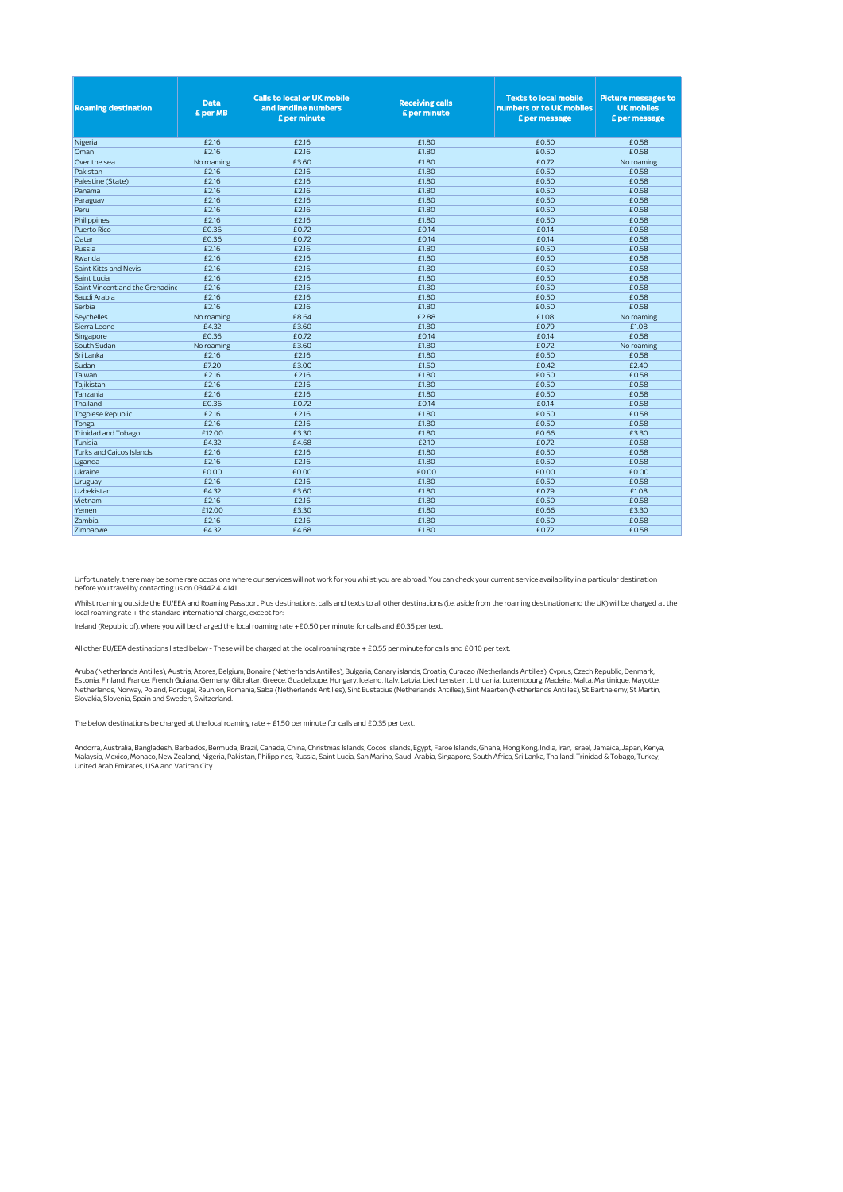| <b>Roaming destination</b>      | <b>Data</b><br>£ per MB | <b>Calls to local or UK mobile</b><br>and landline numbers<br>£ per minute | <b>Receiving calls</b><br>£ per minute | <b>Texts to local mobile</b><br>numbers or to UK mobiles<br>£ per message | <b>Picture messages to</b><br><b>UK mobiles</b><br>£ per message |
|---------------------------------|-------------------------|----------------------------------------------------------------------------|----------------------------------------|---------------------------------------------------------------------------|------------------------------------------------------------------|
| Nigeria                         | £2.16                   | £2.16                                                                      | £1.80                                  | £0.50                                                                     | £0.58                                                            |
| Oman                            | £2.16                   | £2.16                                                                      | £1.80                                  | £0.50                                                                     | £0.58                                                            |
| Over the sea                    | No roaming              | £3.60                                                                      | £1.80                                  | £0.72                                                                     | No roaming                                                       |
| Pakistan                        | £2.16                   | £2.16                                                                      | £1.80                                  | £0.50                                                                     | £0.58                                                            |
| Palestine (State)               | £2.16                   | £2.16                                                                      | £1.80                                  | £0.50                                                                     | £0.58                                                            |
| Panama                          | £216                    | £216                                                                       | £180                                   | £0.50                                                                     | £0.58                                                            |
| Paraguay                        | £2.16                   | £2.16                                                                      | £1.80                                  | £0.50                                                                     | £0.58                                                            |
| Peru                            | £2.16                   | £2.16                                                                      | £1.80                                  | £0.50                                                                     | £0.58                                                            |
| Philippines                     | £2.16                   | £2.16                                                                      | £1.80                                  | £0.50                                                                     | £0.58                                                            |
| <b>Puerto Rico</b>              | £0.36                   | £0.72                                                                      | £0.14                                  | £0.14                                                                     | £0.58                                                            |
| Oatar                           | £0.36                   | £0.72                                                                      | £0.14                                  | £0.14                                                                     | £0.58                                                            |
| Russia                          | £2.16                   | £2.16                                                                      | £1.80                                  | £0.50                                                                     | £0.58                                                            |
| Rwanda                          | £2.16                   | £2.16                                                                      | £1.80                                  | £0.50                                                                     | £0.58                                                            |
| Saint Kitts and Nevis           | £2.16                   | £2.16                                                                      | £1.80                                  | £0.50                                                                     | £0.58                                                            |
| Saint Lucia                     | £2.16                   | £2.16                                                                      | £1.80                                  | £0.50                                                                     | £0.58                                                            |
| Saint Vincent and the Grenadine | £2.16<br>£2.16          | £2.16<br>£2.16                                                             | £1.80<br>£1.80                         | £0.50<br>£0.50                                                            | £0.58<br>£0.58                                                   |
| Saudi Arabia<br>Serbia          | £2.16                   | £2.16                                                                      | £1.80                                  | £0.50                                                                     | £0.58                                                            |
|                                 |                         | £864                                                                       | £2.88                                  | £1.08                                                                     |                                                                  |
| Seychelles<br>Sierra Leone      | No roaming<br>£4.32     | £3.60                                                                      | £1.80                                  | £0.79                                                                     | No roaming<br>£1.08                                              |
|                                 | £0.36                   | £0.72                                                                      | £0.14                                  | £0.14                                                                     | £0.58                                                            |
| Singapore<br>South Sudan        |                         | £3.60                                                                      | £1.80                                  | £0.72                                                                     |                                                                  |
| Sri Lanka                       | No roaming<br>£2.16     | £2.16                                                                      | £1.80                                  | £0.50                                                                     | No roaming<br>£0.58                                              |
| Sudan                           | £7.20                   | £3.00                                                                      | £1.50                                  | £0.42                                                                     | £2.40                                                            |
| Taiwan                          | £2.16                   | £2.16                                                                      | £1.80                                  | £0.50                                                                     | £0.58                                                            |
| Tajikistan                      | £2.16                   | £2.16                                                                      | £1.80                                  | £0.50                                                                     | £0.58                                                            |
| Tanzania                        | £2.16                   | £2.16                                                                      | £1.80                                  | £0.50                                                                     | £0.58                                                            |
| Thailand                        | £0.36                   | £0.72                                                                      | £0.14                                  | £0.14                                                                     | £0.58                                                            |
| Togolese Republic               | £2.16                   | £2.16                                                                      | £1.80                                  | £0.50                                                                     | £0.58                                                            |
| Tonga                           | £2.16                   | £2.16                                                                      | £1.80                                  | £0.50                                                                     | £0.58                                                            |
| <b>Trinidad and Tobago</b>      | £12.00                  | £3.30                                                                      | £1.80                                  | £0.66                                                                     | £3.30                                                            |
| Tunisia                         | £4.32                   | £468                                                                       | £210                                   | £072                                                                      | £0.58                                                            |
| <b>Turks and Caicos Islands</b> | £216                    | £216                                                                       | £1.80                                  | £0.50                                                                     | £0.58                                                            |
| Uganda                          | £2.16                   | £2.16                                                                      | £1.80                                  | £0.50                                                                     | £0.58                                                            |
| Ukraine                         | £0.00                   | £0.00                                                                      | £0.00                                  | £0.00                                                                     | £0.00                                                            |
| Uruguay                         | £2.16                   | £2.16                                                                      | £1.80                                  | £0.50                                                                     | £0.58                                                            |
| Uzbekistan                      | £4.32                   | £3.60                                                                      | £1.80                                  | £0.79                                                                     | £1.08                                                            |
| Vietnam                         | £2.16                   | £2.16                                                                      | £1.80                                  | £0.50                                                                     | £0.58                                                            |
| Yemen                           | £12.00                  | £3.30                                                                      | £1.80                                  | £0.66                                                                     | £3.30                                                            |
| Zambia                          | £2.16                   | £2.16                                                                      | £1.80                                  | £0.50                                                                     | £0.58                                                            |
| Zimbabwe                        | £4.32                   | £4.68                                                                      | £1.80                                  | £0.72                                                                     | £0.58                                                            |

Unfortunately, there may be some rare occasions where our services will not work for you whilst you are abroad. You can check your current service availability in a particular destination before you travel by contacting us on 03442 414141.

Whilst roaming outside the EU/EEA and Roaming Passport Plus destinations, calls and texts to all other destinations (i.e. aside from the roaming destination and the UK) will be charged at the<br>local roaming rate + the stand

Ireland (Republic of), where you will be charged the local roaming rate +£0.50 per minute for calls and £0.35 per text.

All other EU/EEA destinations listed below - These will be charged at the local roaming rate + £0.55 per minute for calls and £0.10 per text.

Aruba (Netherlands Antilles), Austria, Azores, Belgium, Bonaire (Netherlands Antilles), Bulgaria, Canary islands, Croatia, Curacao (Netherlands Antilles), Cyprus, Czech Republic, Denmark,<br>Estonia, Finland, France, French G Slovakia, Slovenia, Spain and Sweden, Switzerland.

The below destinations be charged at the local roaming rate + £1.50 per minute for calls and £0.35 per text.

Andorra, Australia, Bangladesh, Barbados, Bermuda, Brazil, Canada, China, Christmas Islands, Cocos Islands, Egypt, Faroe Islands, Ghana, Hong Kong, India, Iran, Israel, Jamaica, Japan, Kenya, Malaysia, Mexico, Monaco, New Zealand, Nigeria, Pakistan, Philippines, Russia, Saint Lucia, San Marino, Saudi Arabia, Singapore, South Africa, Sri Lanka, Thailand, Trinidad & Tobago, Turkey,<br>United Arab Emirates, USA and V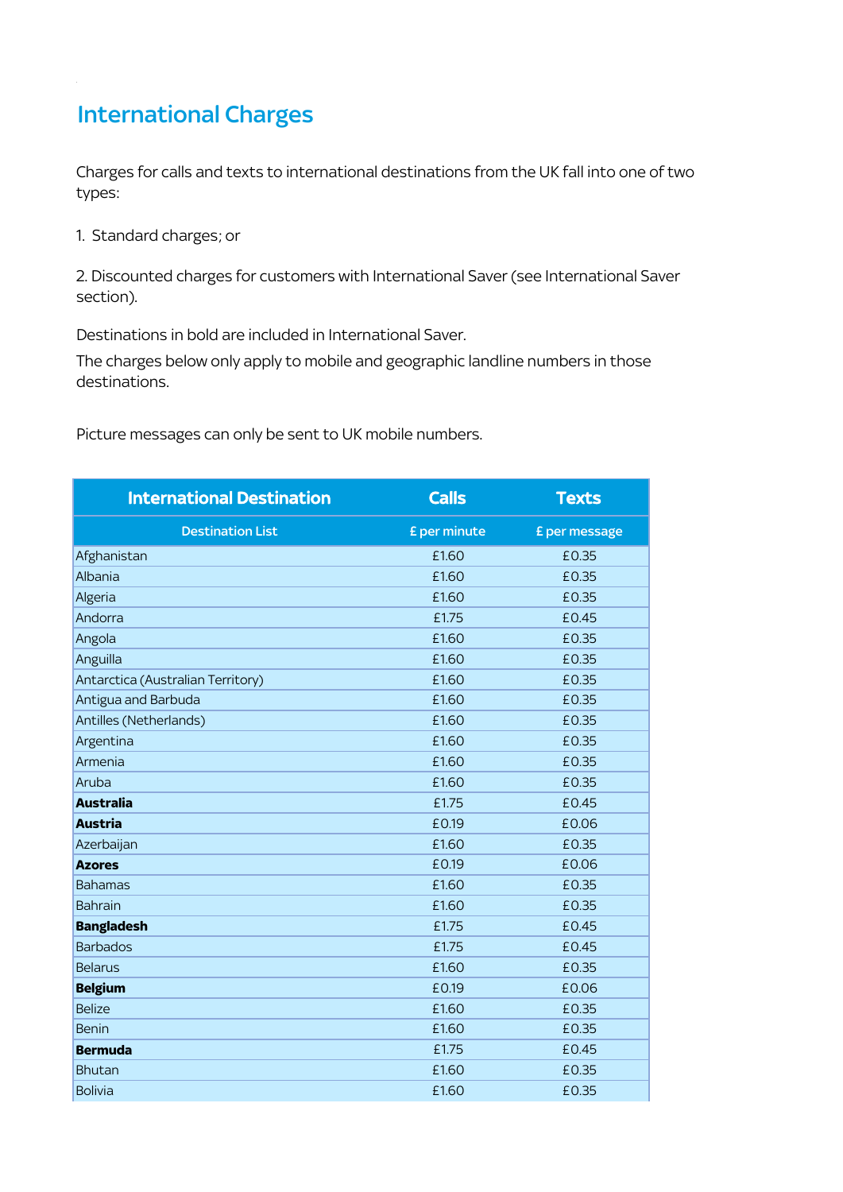# International Charges

Charges for calls and texts to international destinations from the UK fall into one of two types:

1. Standard charges; or

2. Discounted charges for customers with International Saver (see International Saver section).

Destinations in bold are included in International Saver.

The charges below only apply to mobile and geographic landline numbers in those destinations.

Picture messages can only be sent to UK mobile numbers.

| <b>International Destination</b>  | <b>Calls</b> | <b>Texts</b>  |
|-----------------------------------|--------------|---------------|
| <b>Destination List</b>           | £ per minute | £ per message |
| Afghanistan                       | £1.60        | £0.35         |
| Albania                           | £1.60        | £0.35         |
| Algeria                           | £1.60        | £0.35         |
| Andorra                           | £1.75        | £0.45         |
| Angola                            | £1.60        | £0.35         |
| Anguilla                          | £1.60        | £0.35         |
| Antarctica (Australian Territory) | £1.60        | £0.35         |
| Antigua and Barbuda               | £1.60        | £0.35         |
| Antilles (Netherlands)            | £1.60        | £0.35         |
| Argentina                         | £1.60        | £0.35         |
| Armenia                           | £1.60        | £0.35         |
| Aruba                             | £1.60        | £0.35         |
| <b>Australia</b>                  | £1.75        | £0.45         |
| <b>Austria</b>                    | £0.19        | £0.06         |
| Azerbaijan                        | £1.60        | £0.35         |
| <b>Azores</b>                     | £0.19        | £0.06         |
| <b>Bahamas</b>                    | £1.60        | £0.35         |
| <b>Bahrain</b>                    | £1.60        | £0.35         |
| <b>Bangladesh</b>                 | £1.75        | £0.45         |
| <b>Barbados</b>                   | £1.75        | £0.45         |
| <b>Belarus</b>                    | £1.60        | £0.35         |
| <b>Belgium</b>                    | £0.19        | £0.06         |
| <b>Belize</b>                     | £1.60        | £0.35         |
| <b>Benin</b>                      | £1.60        | £0.35         |
| <b>Bermuda</b>                    | £1.75        | £0.45         |
| <b>Bhutan</b>                     | £1.60        | £0.35         |
| <b>Bolivia</b>                    | £1.60        | £0.35         |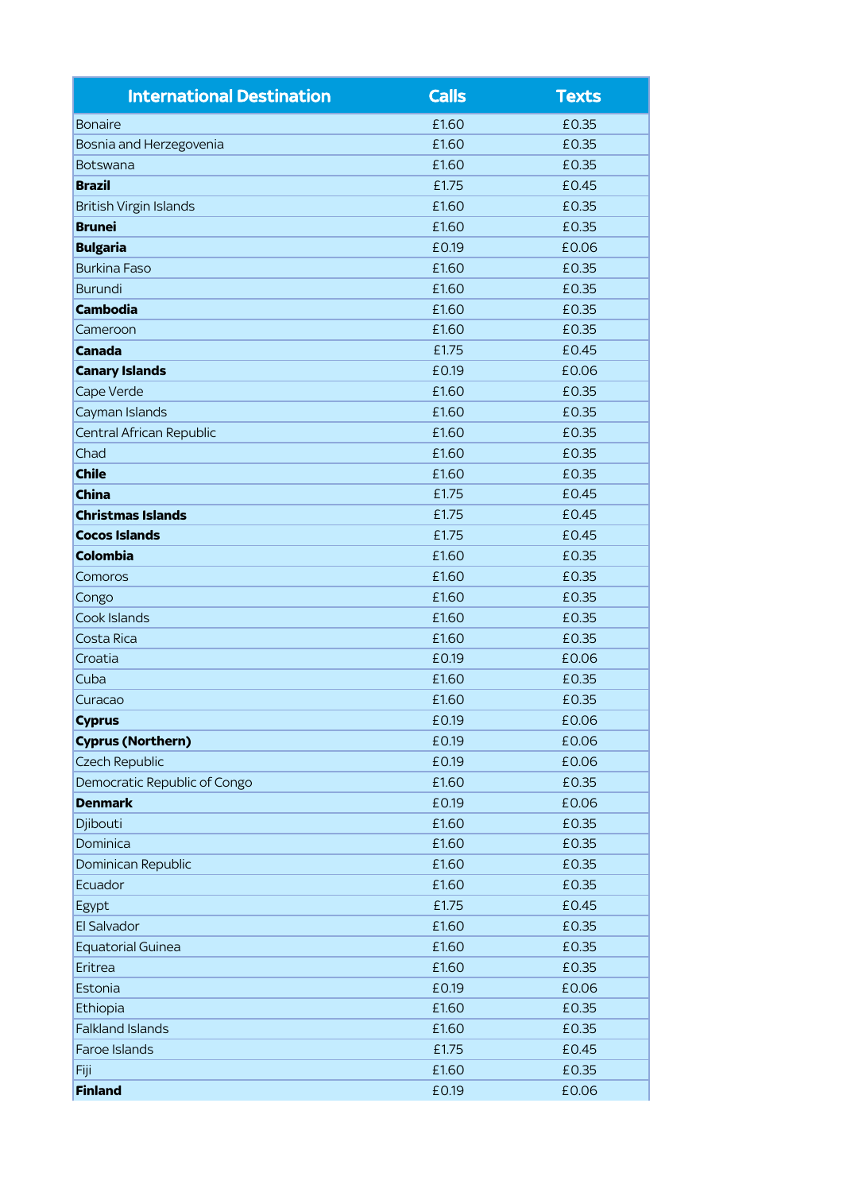| <b>International Destination</b> | <b>Calls</b> | <b>Texts</b> |
|----------------------------------|--------------|--------------|
| <b>Bonaire</b>                   | £1.60        | £0.35        |
| Bosnia and Herzegovenia          | £1.60        | £0.35        |
| Botswana                         | £1.60        | £0.35        |
| <b>Brazil</b>                    | £1.75        | £0.45        |
| <b>British Virgin Islands</b>    | £1.60        | £0.35        |
| <b>Brunei</b>                    | £1.60        | £0.35        |
| <b>Bulgaria</b>                  | £0.19        | £0.06        |
| <b>Burkina Faso</b>              | £1.60        | £0.35        |
| <b>Burundi</b>                   | £1.60        | £0.35        |
| <b>Cambodia</b>                  | £1.60        | £0.35        |
| Cameroon                         | £1.60        | £0.35        |
| <b>Canada</b>                    | £1.75        | £0.45        |
| <b>Canary Islands</b>            | £0.19        | £0.06        |
| Cape Verde                       | £1.60        | £0.35        |
| Cayman Islands                   | £1.60        | £0.35        |
| <b>Central African Republic</b>  | £1.60        | £0.35        |
| Chad                             | £1.60        | £0.35        |
| <b>Chile</b>                     | £1.60        | £0.35        |
| <b>China</b>                     | £1.75        | £0.45        |
| <b>Christmas Islands</b>         | £1.75        | £0.45        |
| <b>Cocos Islands</b>             | £1.75        | £0.45        |
| <b>Colombia</b>                  | £1.60        | £0.35        |
| Comoros                          | £1.60        | £0.35        |
| Congo                            | £1.60        | £0.35        |
| Cook Islands                     | £1.60        | £0.35        |
| Costa Rica                       | £1.60        | £0.35        |
| Croatia                          | £0.19        | £0.06        |
| Cuba                             | £1.60        | £0.35        |
| Curacao                          | £1.60        | £0.35        |
| <b>Cyprus</b>                    | £0.19        | £0.06        |
| <b>Cyprus (Northern)</b>         | £0.19        | £0.06        |
| <b>Czech Republic</b>            | £0.19        | £0.06        |
| Democratic Republic of Congo     | £1.60        | £0.35        |
| <b>Denmark</b>                   | £0.19        | £0.06        |
| Djibouti                         | £1.60        | £0.35        |
| Dominica                         | £1.60        | £0.35        |
| Dominican Republic               | £1.60        | £0.35        |
| Ecuador                          | £1.60        | £0.35        |
| Egypt                            | £1.75        | £0.45        |
| El Salvador                      | £1.60        | £0.35        |
| <b>Equatorial Guinea</b>         | £1.60        | £0.35        |
| Eritrea                          | £1.60        | £0.35        |
| Estonia                          | £0.19        | £0.06        |
| Ethiopia                         | £1.60        | £0.35        |
| <b>Falkland Islands</b>          | £1.60        | £0.35        |
| <b>Faroe Islands</b>             | £1.75        | £0.45        |
| Fiji                             | £1.60        | £0.35        |
| <b>Finland</b>                   | £0.19        | £0.06        |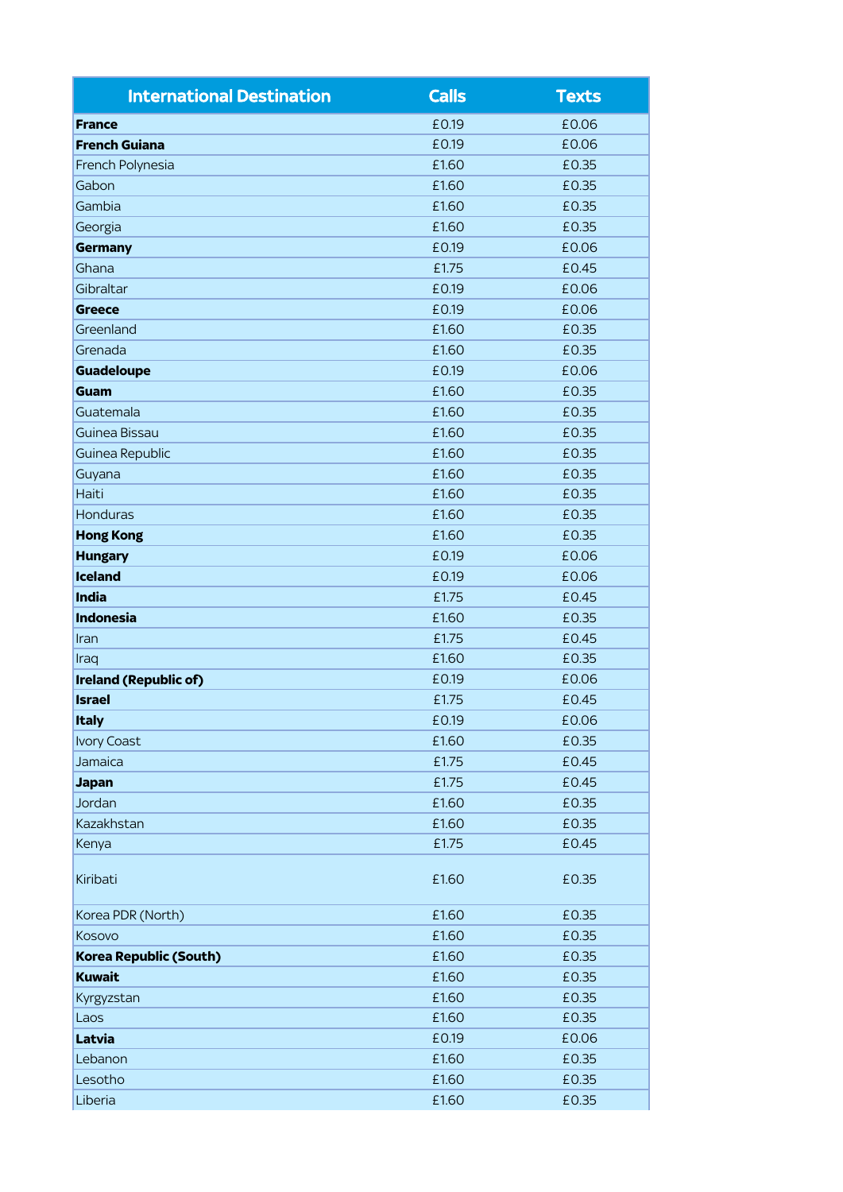| <b>International Destination</b> | <b>Calls</b> | <b>Texts</b> |
|----------------------------------|--------------|--------------|
| <b>France</b>                    | £0.19        | £0.06        |
| <b>French Guiana</b>             | £0.19        | £0.06        |
| French Polynesia                 | £1.60        | £0.35        |
| Gabon                            | £1.60        | £0.35        |
| Gambia                           | £1.60        | £0.35        |
| Georgia                          | £1.60        | £0.35        |
| <b>Germany</b>                   | £0.19        | £0.06        |
| Ghana                            | £1.75        | £0.45        |
| Gibraltar                        | £0.19        | £0.06        |
| <b>Greece</b>                    | £0.19        | £0.06        |
| Greenland                        | £1.60        | £0.35        |
| Grenada                          | £1.60        | £0.35        |
| <b>Guadeloupe</b>                | £0.19        | £0.06        |
| Guam                             | £1.60        | £0.35        |
| Guatemala                        | £1.60        | £0.35        |
| Guinea Bissau                    | £1.60        | £0.35        |
| Guinea Republic                  | £1.60        | £0.35        |
| Guyana                           | £1.60        | £0.35        |
| Haiti                            | £1.60        | £0.35        |
| <b>Honduras</b>                  | £1.60        | £0.35        |
| <b>Hong Kong</b>                 | £1.60        | £0.35        |
| <b>Hungary</b>                   | £0.19        | £0.06        |
| <b>Iceland</b>                   | £0.19        | £0.06        |
| <b>India</b>                     | £1.75        | £0.45        |
| <b>Indonesia</b>                 | £1.60        | £0.35        |
| Iran                             | £1.75        | £0.45        |
| Iraq                             | £1.60        | £0.35        |
| Ireland (Republic of)            | £0.19        | £0.06        |
| <b>Israel</b>                    | £1.75        | £0.45        |
| <b>Italy</b>                     | £0.19        | £0.06        |
| <b>Ivory Coast</b>               | £1.60        | £0.35        |
| Jamaica                          | £1.75        | £0.45        |
| <b>Japan</b>                     | £1.75        | £0.45        |
| Jordan                           | £1.60        | £0.35        |
| Kazakhstan                       | £1.60        | £0.35        |
| Kenya                            | £1.75        | £0.45        |
| Kiribati                         | £1.60        | £0.35        |
| Korea PDR (North)                | £1.60        | £0.35        |
| Kosovo                           | £1.60        | £0.35        |
| Korea Republic (South)           | £1.60        | £0.35        |
| <b>Kuwait</b>                    | £1.60        | £0.35        |
| Kyrgyzstan                       | £1.60        | £0.35        |
| Laos                             | £1.60        | £0.35        |
| Latvia                           | £0.19        | £0.06        |
| Lebanon                          | £1.60        | £0.35        |
| Lesotho                          | £1.60        | £0.35        |
| Liberia                          | £1.60        | £0.35        |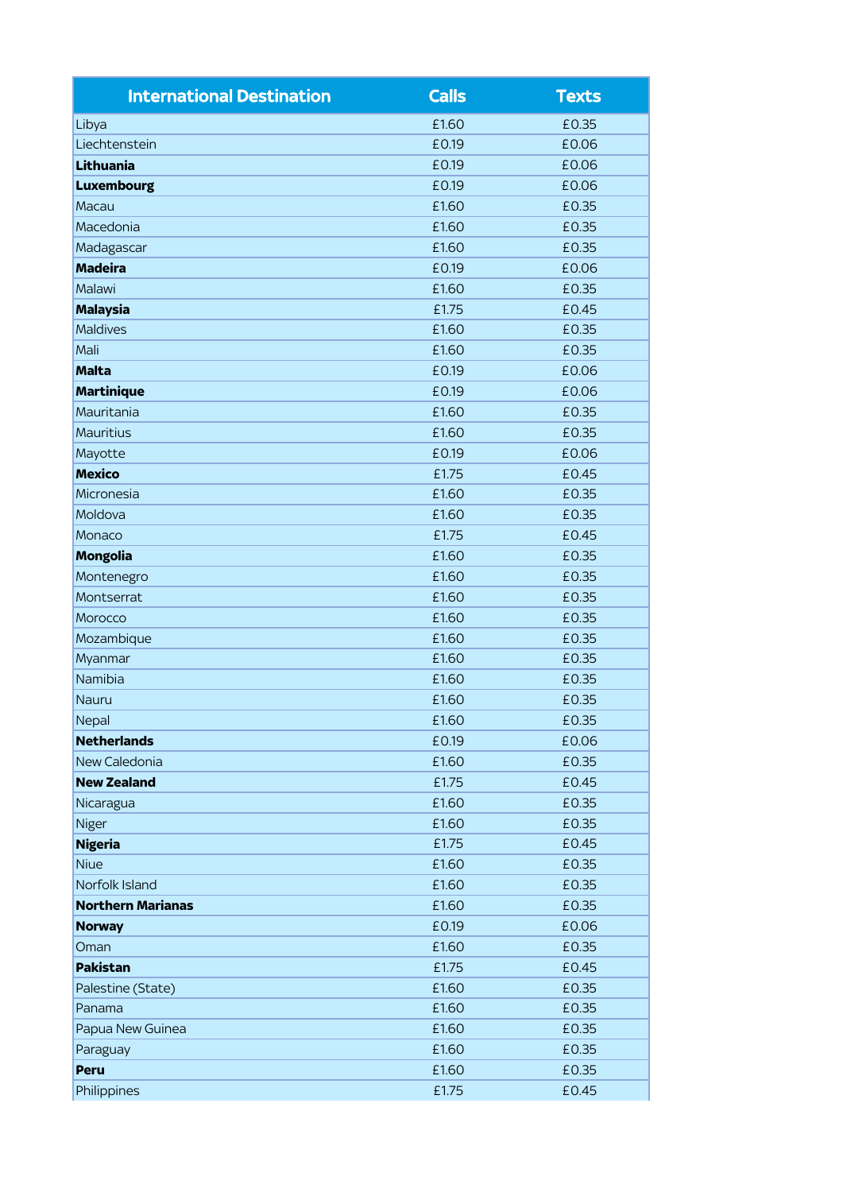| <b>International Destination</b> | <b>Calls</b> | <b>Texts</b> |
|----------------------------------|--------------|--------------|
| Libya                            | £1.60        | £0.35        |
| Liechtenstein                    | £0.19        | £0.06        |
| Lithuania                        | £0.19        | £0.06        |
| <b>Luxembourg</b>                | £0.19        | £0.06        |
| Macau                            | £1.60        | £0.35        |
| Macedonia                        | £1.60        | £0.35        |
| Madagascar                       | £1.60        | £0.35        |
| <b>Madeira</b>                   | £0.19        | £0.06        |
| Malawi                           | £1.60        | £0.35        |
| <b>Malaysia</b>                  | £1.75        | £0.45        |
| <b>Maldives</b>                  | £1.60        | £0.35        |
| Mali                             | £1.60        | £0.35        |
| <b>Malta</b>                     | £0.19        | £0.06        |
| <b>Martinique</b>                | £0.19        | £0.06        |
| Mauritania                       | £1.60        | £0.35        |
| <b>Mauritius</b>                 | £1.60        | £0.35        |
| Mayotte                          | £0.19        | £0.06        |
| <b>Mexico</b>                    | £1.75        | £0.45        |
| Micronesia                       | £1.60        | £0.35        |
| Moldova                          | £1.60        | £0.35        |
| Monaco                           | £1.75        | £0.45        |
| <b>Mongolia</b>                  | £1.60        | £0.35        |
| Montenegro                       | £1.60        | £0.35        |
| Montserrat                       | £1.60        | £0.35        |
| Morocco                          | £1.60        | £0.35        |
| Mozambique                       | £1.60        | £0.35        |
| Myanmar                          | £1.60        | £0.35        |
| Namibia                          | £1.60        | £0.35        |
| Nauru                            | £1.60        | £0.35        |
| Nepal                            | £1.60        | £0.35        |
| <b>Netherlands</b>               | £0.19        | £0.06        |
| <b>New Caledonia</b>             | £1.60        | £0.35        |
| <b>New Zealand</b>               | £1.75        | £0.45        |
| Nicaragua                        | £1.60        | £0.35        |
| Niger                            | £1.60        | £0.35        |
| <b>Nigeria</b>                   | £1.75        | £0.45        |
| <b>Niue</b>                      | £1.60        | £0.35        |
| Norfolk Island                   | £1.60        | £0.35        |
| <b>Northern Marianas</b>         | £1.60        | £0.35        |
| <b>Norway</b>                    | £0.19        | £0.06        |
| Oman                             | £1.60        | £0.35        |
| Pakistan                         | £1.75        | £0.45        |
| Palestine (State)                | £1.60        | £0.35        |
| Panama                           | £1.60        | £0.35        |
| Papua New Guinea                 | £1.60        | £0.35        |
| Paraguay                         | £1.60        | £0.35        |
| Peru                             | £1.60        | £0.35        |
| Philippines                      | £1.75        | £0.45        |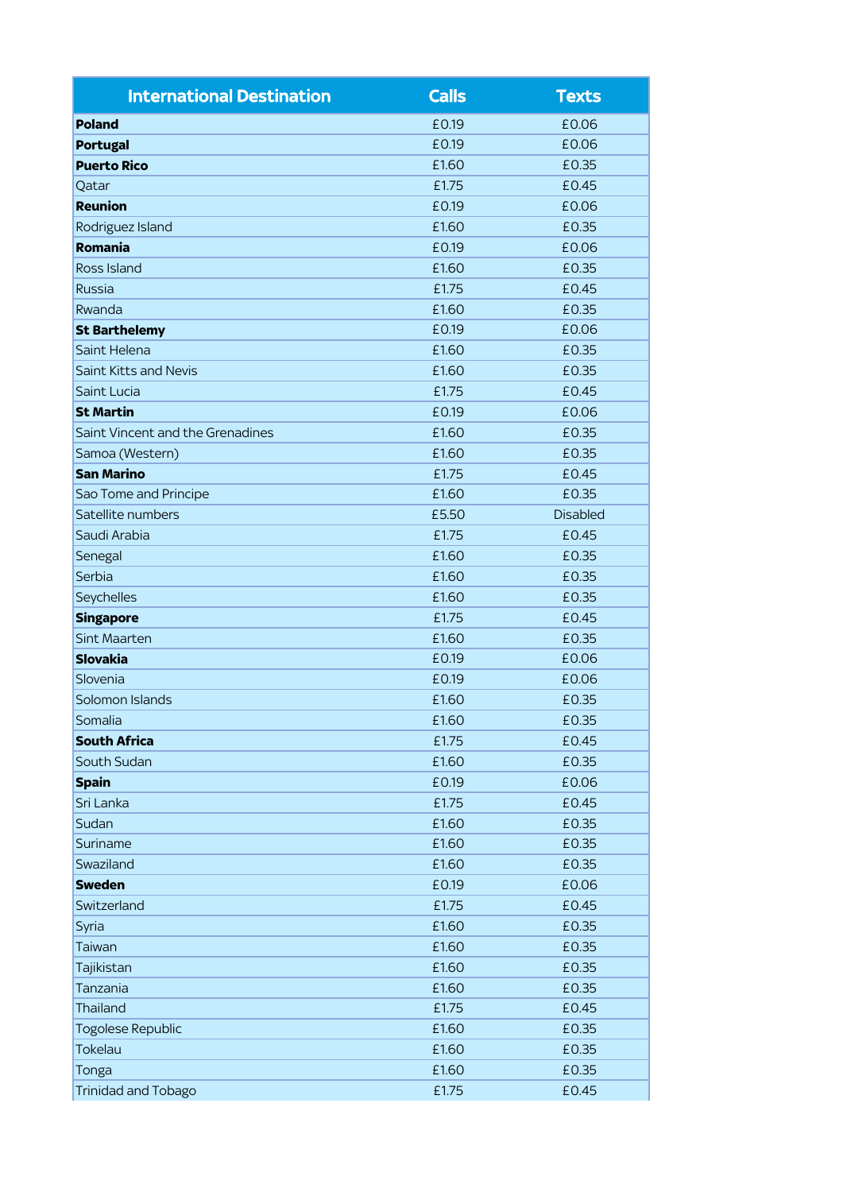| <b>International Destination</b> | <b>Calls</b> | <b>Texts</b>    |
|----------------------------------|--------------|-----------------|
| <b>Poland</b>                    | £0.19        | £0.06           |
| <b>Portugal</b>                  | £0.19        | £0.06           |
| <b>Puerto Rico</b>               | £1.60        | £0.35           |
| Qatar                            | £1.75        | £0.45           |
| <b>Reunion</b>                   | £0.19        | £0.06           |
| Rodriguez Island                 | £1.60        | £0.35           |
| <b>Romania</b>                   | £0.19        | £0.06           |
| Ross Island                      | £1.60        | £0.35           |
| <b>Russia</b>                    | £1.75        | £0.45           |
| Rwanda                           | £1.60        | £0.35           |
| <b>St Barthelemy</b>             | £0.19        | £0.06           |
| Saint Helena                     | £1.60        | £0.35           |
| <b>Saint Kitts and Nevis</b>     | £1.60        | £0.35           |
| Saint Lucia                      | £1.75        | £0.45           |
| <b>St Martin</b>                 | £0.19        | £0.06           |
| Saint Vincent and the Grenadines | £1.60        | £0.35           |
| Samoa (Western)                  | £1.60        | £0.35           |
| <b>San Marino</b>                | £1.75        | £0.45           |
| Sao Tome and Principe            | £1.60        | £0.35           |
| Satellite numbers                | £5.50        | <b>Disabled</b> |
| Saudi Arabia                     | £1.75        | £0.45           |
| Senegal                          | £1.60        | £0.35           |
| Serbia                           | £1.60        | £0.35           |
| Seychelles                       | £1.60        | £0.35           |
| <b>Singapore</b>                 | £1.75        | £0.45           |
| <b>Sint Maarten</b>              | £1.60        | £0.35           |
| <b>Slovakia</b>                  | £0.19        | £0.06           |
| Slovenia                         | £0.19        | £0.06           |
| Solomon Islands                  | £1.60        | £0.35           |
| Somalia                          | £1.60        | £0.35           |
| <b>South Africa</b>              | £1.75        | £0.45           |
| South Sudan                      | £1.60        | £0.35           |
| <b>Spain</b>                     | £0.19        | £0.06           |
| Sri Lanka                        | £1.75        | £0.45           |
| Sudan                            | £1.60        | £0.35           |
| Suriname                         | £1.60        | £0.35           |
| Swaziland                        | £1.60        | £0.35           |
| <b>Sweden</b>                    | £0.19        | £0.06           |
| Switzerland                      | £1.75        | £0.45           |
| Syria                            | £1.60        | £0.35           |
| Taiwan                           | £1.60        | £0.35           |
| Tajikistan                       | £1.60        | £0.35           |
| Tanzania                         | £1.60        | £0.35           |
| <b>Thailand</b>                  | £1.75        | £0.45           |
| <b>Togolese Republic</b>         | £1.60        | £0.35           |
| <b>Tokelau</b>                   | £1.60        | £0.35           |
| Tonga                            | £1.60        | £0.35           |
| <b>Trinidad and Tobago</b>       | £1.75        | £0.45           |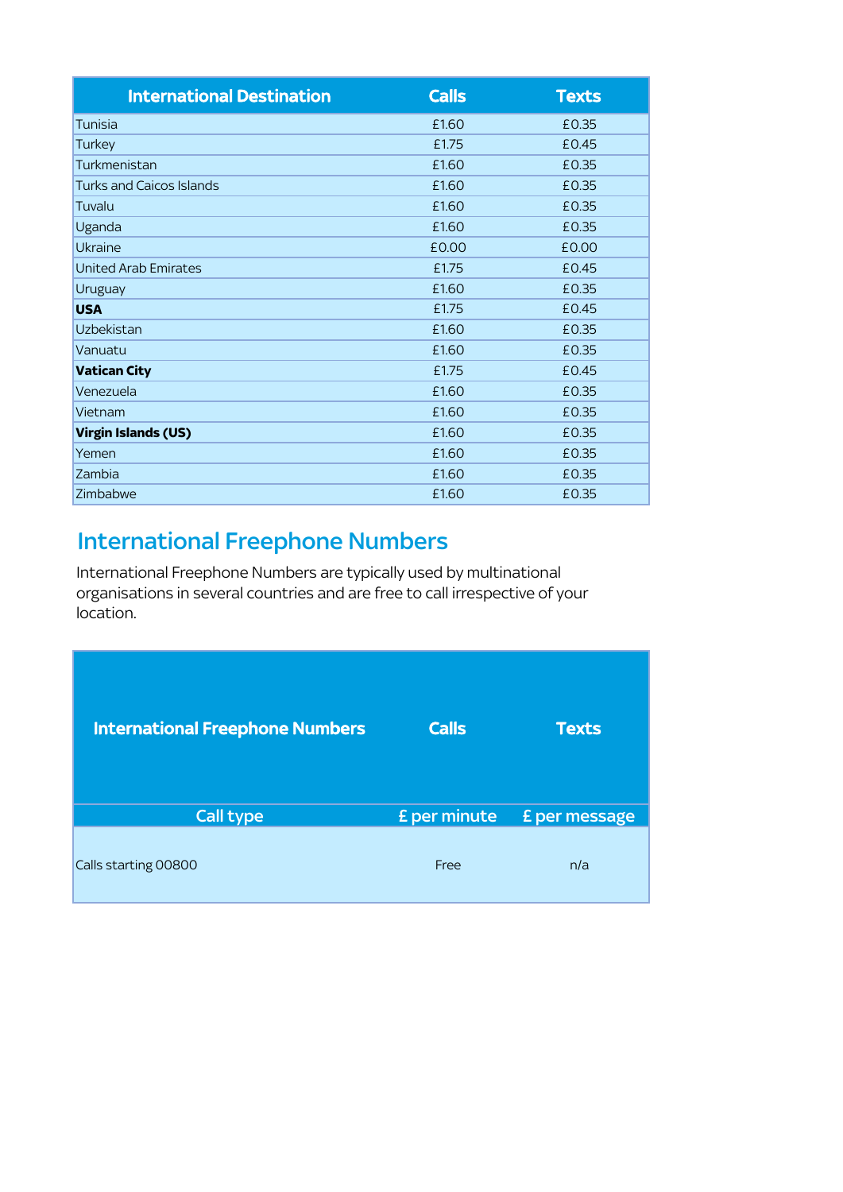| <b>International Destination</b> | <b>Calls</b> | <b>Texts</b> |
|----------------------------------|--------------|--------------|
| Tunisia                          | £1.60        | £0.35        |
| Turkey                           | £1.75        | £0.45        |
| Turkmenistan                     | £1.60        | £0.35        |
| Turks and Caicos Islands         | £1.60        | £0.35        |
| Tuvalu                           | £1.60        | £0.35        |
| Uganda                           | £1.60        | £0.35        |
| <b>Ukraine</b>                   | £0.00        | £0.00        |
| <b>United Arab Emirates</b>      | £1.75        | £0.45        |
| Uruguay                          | £1.60        | £0.35        |
| <b>USA</b>                       | £1.75        | £0.45        |
| <b>Uzbekistan</b>                | £1.60        | £0.35        |
| Vanuatu                          | £1.60        | £0.35        |
| <b>Vatican City</b>              | £1.75        | £0.45        |
| Venezuela                        | £1.60        | £0.35        |
| Vietnam                          | £1.60        | £0.35        |
| <b>Virgin Islands (US)</b>       | £1.60        | £0.35        |
| Yemen                            | £1.60        | £0.35        |
| Zambia                           | £1.60        | £0.35        |
| Zimbabwe                         | £1.60        | £0.35        |

# International Freephone Numbers

International Freephone Numbers are typically used by multinational organisations in several countries and are free to call irrespective of your location.

| <b>International Freephone Numbers</b> | <b>Calls</b>        | <b>Texts</b>         |
|----------------------------------------|---------------------|----------------------|
| <b>Call type</b>                       | <b>£</b> per minute | <b>£</b> per message |
| Calls starting 00800                   | Free                | n/a                  |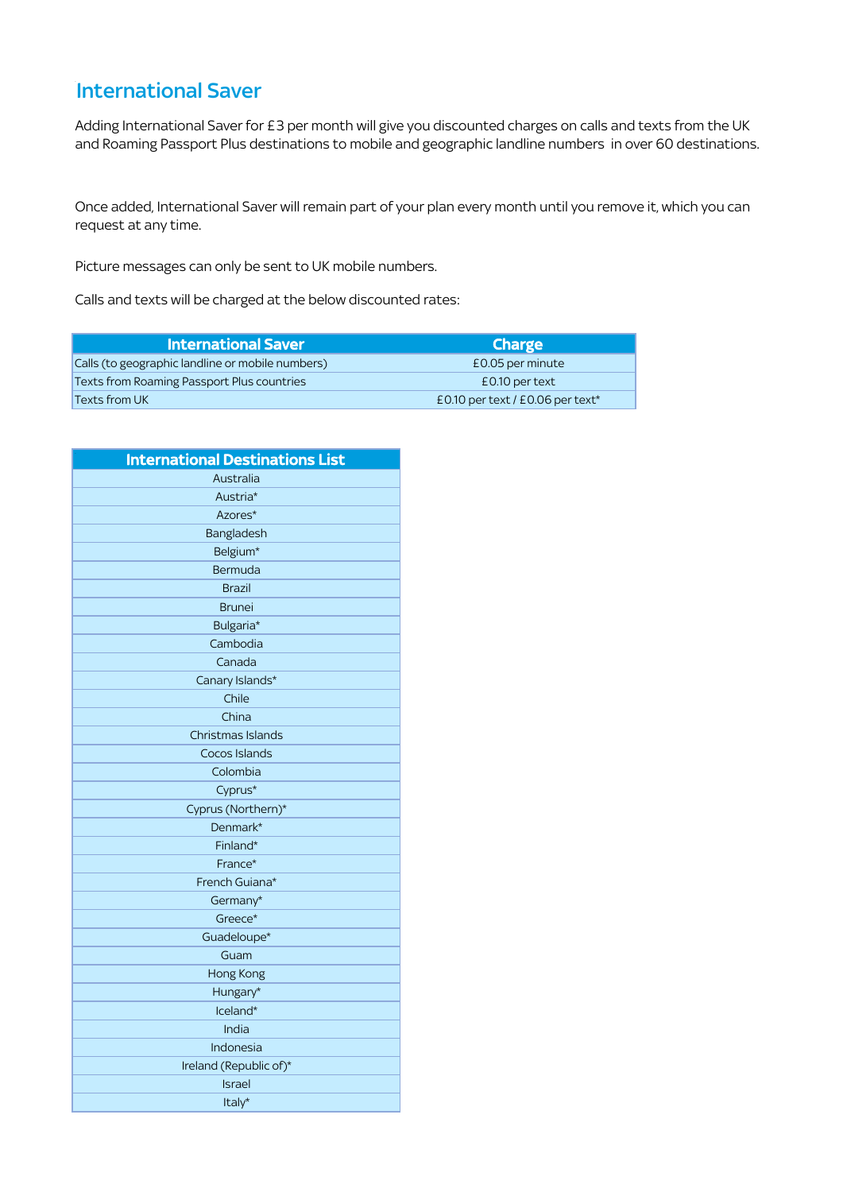### **International Saver**

Adding International Saver for £3 per month will give you discounted charges on calls and texts from the UK and Roaming Passport Plus destinations to mobile and geographic landline numbers in over 60 destinations.

Once added, International Saver will remain part of your plan every month until you remove it, which you can request at any time.

Picture messages can only be sent to UK mobile numbers.

Calls and texts will be charged at the below discounted rates:

| <b>International Saver</b>                       | <b>Charge</b>                                  |
|--------------------------------------------------|------------------------------------------------|
| Calls (to geographic landline or mobile numbers) | £0.05 per minute                               |
| Texts from Roaming Passport Plus countries       | £0.10 per text                                 |
| Texts from UK                                    | £0.10 per text / $£0.06$ per text <sup>*</sup> |

| <b>International Destinations List</b> |
|----------------------------------------|
| Australia                              |
| Austria*                               |
| Azores*                                |
| Bangladesh                             |
| Belgium*                               |
| Bermuda                                |
| <b>Brazil</b>                          |
| <b>Brunei</b>                          |
| Bulgaria*                              |
| Cambodia                               |
| Canada                                 |
| Canary Islands*                        |
| Chile                                  |
| China                                  |
| Christmas Islands                      |
| Cocos Islands                          |
| Colombia                               |
| Cyprus*                                |
| Cyprus (Northern)*                     |
| Denmark*                               |
| Finland*                               |
| France*                                |
| French Guiana*                         |
| Germany*                               |
| Greece*                                |
| Guadeloupe*                            |
| Guam                                   |
| Hong Kong                              |
| Hungary*                               |
| Iceland*                               |
| India                                  |
| Indonesia                              |
| Ireland (Republic of)*                 |
| <b>Israel</b>                          |
| Italy*                                 |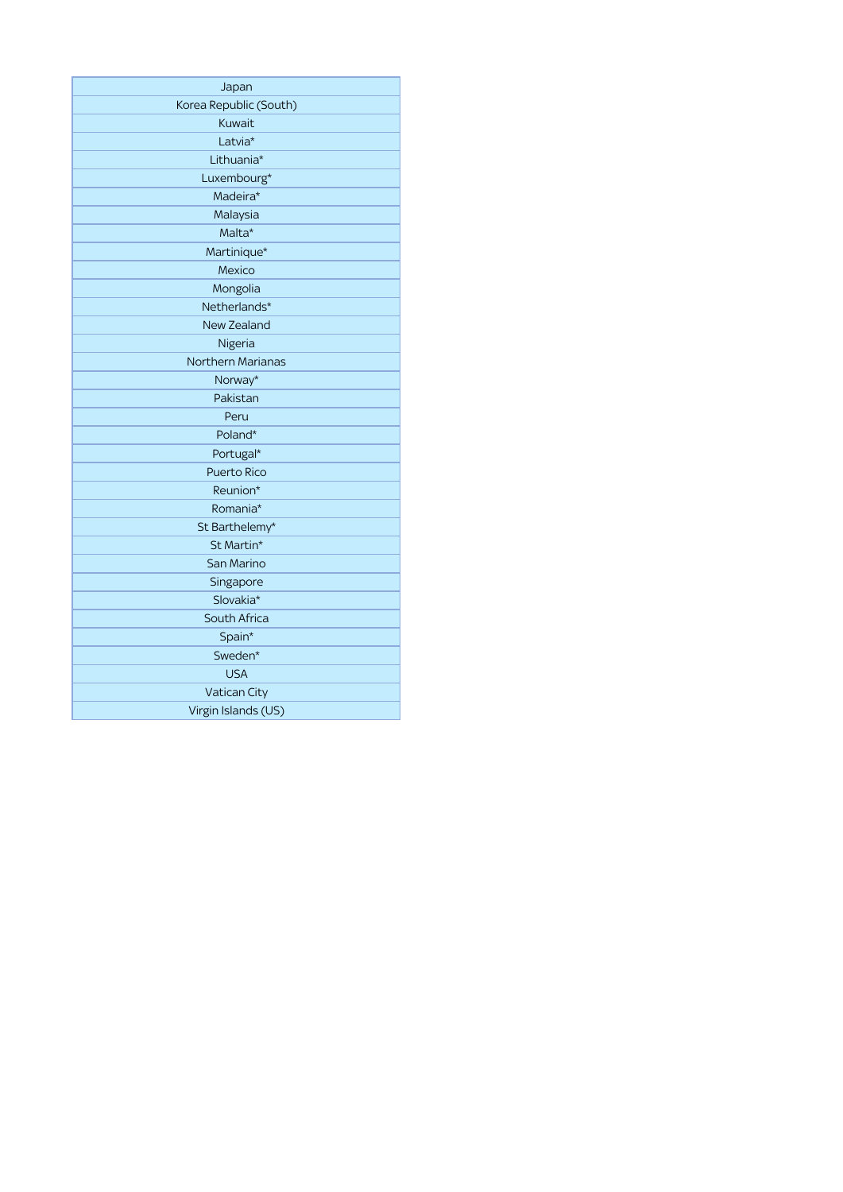| Japan                    |
|--------------------------|
| Korea Republic (South)   |
| Kuwait                   |
| Latvia*                  |
| Lithuania*               |
| Luxembourg*              |
| Madeira*                 |
| Malaysia                 |
| Malta*                   |
| Martinique*              |
| Mexico                   |
| Mongolia                 |
| Netherlands*             |
| New Zealand              |
| Nigeria                  |
| <b>Northern Marianas</b> |
| Norway*                  |
| Pakistan                 |
| Peru                     |
| Poland*                  |
| Portugal*                |
| Puerto Rico              |
| Reunion*                 |
| Romania*                 |
| St Barthelemy*           |
| St Martin*               |
| San Marino               |
| Singapore                |
| Slovakia*                |
| South Africa             |
| Spain*                   |
| Sweden*                  |
| <b>USA</b>               |
| Vatican City             |
| Virgin Islands (US)      |